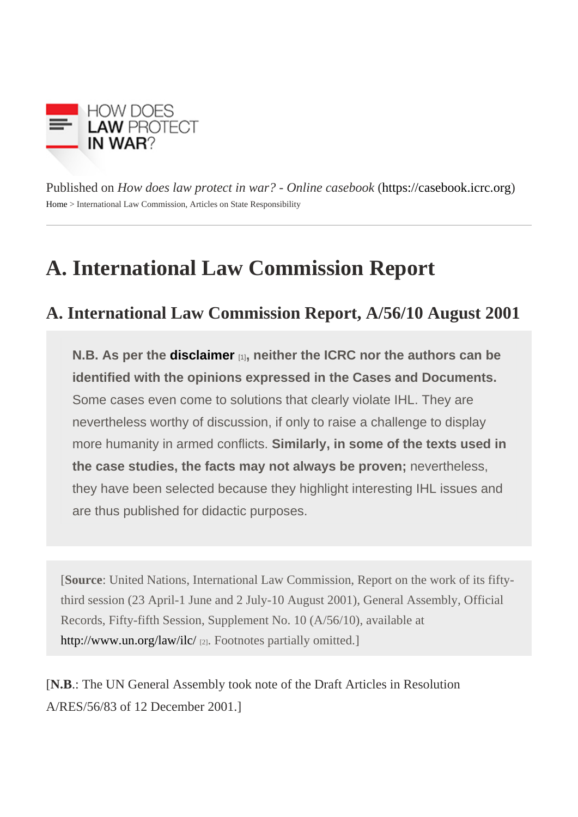Published on How does law protect in war? - Online caseboot these (/caseb[ook](https://casebook.icrc.org).icrc.org) [Home](https://casebook.icrc.org/) > International Law Commission, Articles on State Responsibility

# A. International Law Commission Report

# A. International Law Commission Report, A/56/10 August 2001

N.B. As per the [disclaimer](https://casebook.icrc.org/disclaimer-and-copyright)  $_{[1]}$ , neither the ICRC nor the authors can be identified with the opinions expressed in the Cases and Documents. Some cases even come to solutions that clearly violate IHL. They are nevertheless worthy of discussion, if only to raise a challenge to display more humanity in armed conflicts. Similarly, in some of the texts used in the case studies, the facts may not always be proven; nevertheless, they have been selected because they highlight interesting IHL issues and are thus published for didactic purposes.

[Source: United Nations, International Law Commission, Report on the work of its fiftythird session (23 April-1 June and 2 July-10 August 2001), General Assembly, Official Records, Fifty-fifth Session, Supplement No. 10 (A/56/10), available at [http://www.un.org/law/ilc](http://www.un.org/law/ilc/)/<sub>(2]</sub>. Footnotes partially omitted.]

[N.B.: The UN General Assembly took note of the Draft Articles in Resolution A/RES/56/83 of 12 December 2001.]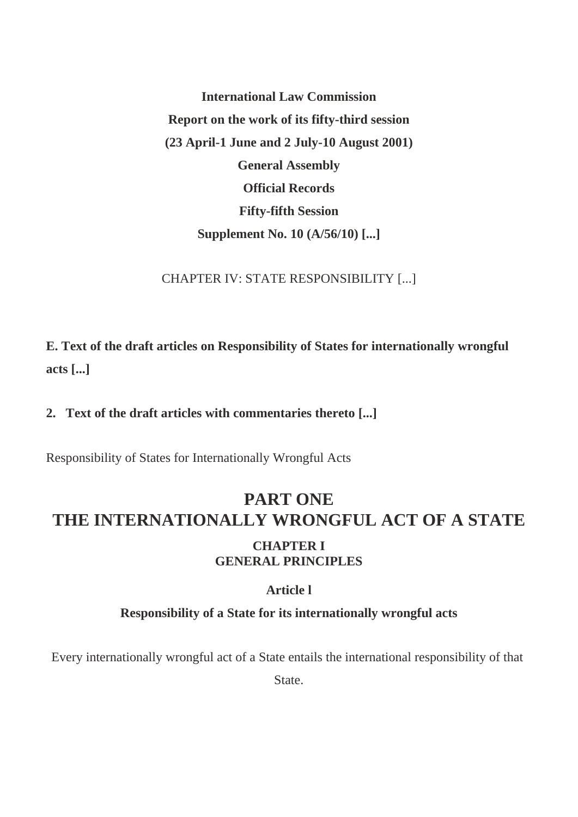**International Law Commission Report on the work of its fifty-third session (23 April-1 June and 2 July-10 August 2001) General Assembly Official Records Fifty-fifth Session Supplement No. 10 (A/56/10) [...]**

CHAPTER IV: STATE RESPONSIBILITY [...]

**E. Text of the draft articles on Responsibility of States for internationally wrongful acts [...]**

**2. Text of the draft articles with commentaries thereto [...]**

Responsibility of States for Internationally Wrongful Acts

# **PART ONE THE INTERNATIONALLY WRONGFUL ACT OF A STATE CHAPTER I GENERAL PRINCIPLES**

#### **Article l**

#### **Responsibility of a State for its internationally wrongful acts**

Every internationally wrongful act of a State entails the international responsibility of that

State.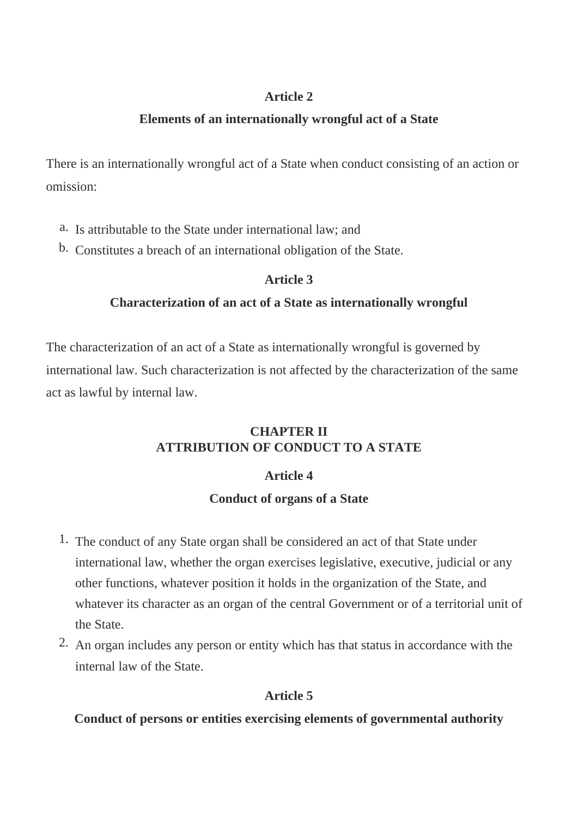#### **Article 2**

## **Elements of an internationally wrongful act of a State**

There is an internationally wrongful act of a State when conduct consisting of an action or omission:

- a. Is attributable to the State under international law; and
- b. Constitutes a breach of an international obligation of the State.

#### **Article 3**

## **Characterization of an act of a State as internationally wrongful**

The characterization of an act of a State as internationally wrongful is governed by international law. Such characterization is not affected by the characterization of the same act as lawful by internal law.

#### **CHAPTER II ATTRIBUTION OF CONDUCT TO A STATE**

## **Article 4**

## **Conduct of organs of a State**

- 1. The conduct of any State organ shall be considered an act of that State under international law, whether the organ exercises legislative, executive, judicial or any other functions, whatever position it holds in the organization of the State, and whatever its character as an organ of the central Government or of a territorial unit of the State.
- 2. An organ includes any person or entity which has that status in accordance with the internal law of the State.

# **Article 5**

## **Conduct of persons or entities exercising elements of governmental authority**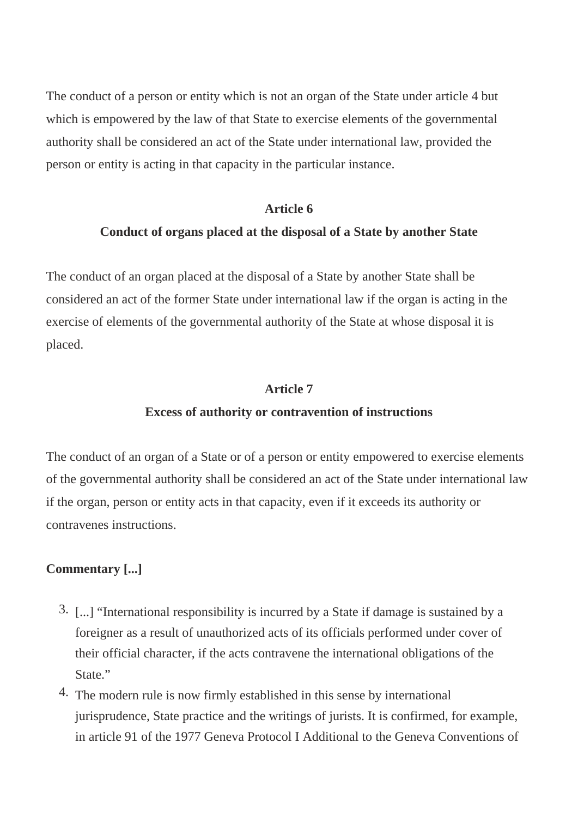The conduct of a person or entity which is not an organ of the State under article 4 but which is empowered by the law of that State to exercise elements of the governmental authority shall be considered an act of the State under international law, provided the person or entity is acting in that capacity in the particular instance.

#### **Article 6**

#### **Conduct of organs placed at the disposal of a State by another State**

The conduct of an organ placed at the disposal of a State by another State shall be considered an act of the former State under international law if the organ is acting in the exercise of elements of the governmental authority of the State at whose disposal it is placed.

#### **Article 7**

#### **Excess of authority or contravention of instructions**

The conduct of an organ of a State or of a person or entity empowered to exercise elements of the governmental authority shall be considered an act of the State under international law if the organ, person or entity acts in that capacity, even if it exceeds its authority or contravenes instructions.

#### **Commentary [...]**

- 3. [...] "International responsibility is incurred by a State if damage is sustained by a foreigner as a result of unauthorized acts of its officials performed under cover of their official character, if the acts contravene the international obligations of the State."
- 4. The modern rule is now firmly established in this sense by international jurisprudence, State practice and the writings of jurists. It is confirmed, for example, in article 91 of the 1977 Geneva Protocol I Additional to the Geneva Conventions of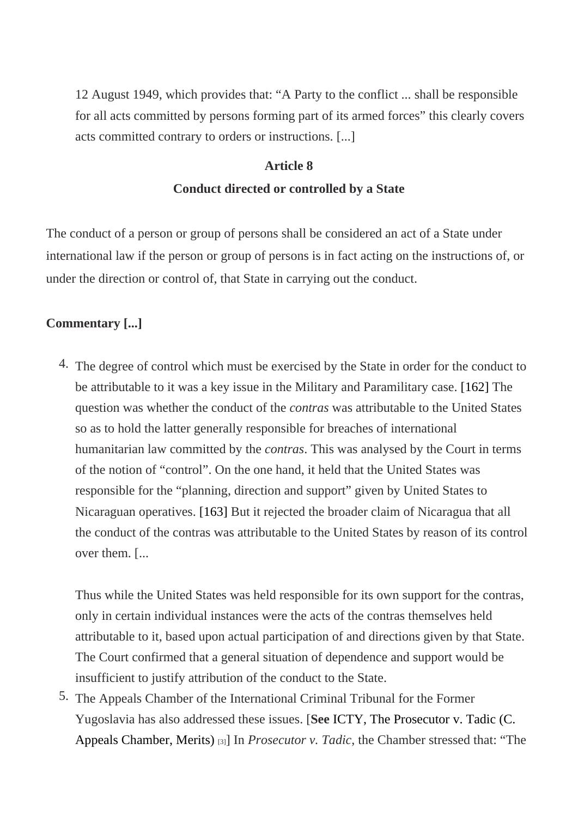<span id="page-4-0"></span>12 August 1949, which provides that: "A Party to the conflict ... shall be responsible for all acts committed by persons forming part of its armed forces" this clearly covers acts committed contrary to orders or instructions. [...]

#### Article 8

# Conduct directed or controlled by a State

The conduct of a person or group of persons shall be considered an act of a State under international law if the person or group of persons is in fact acting on the instructions of, or under the direction or control of, that State in carrying out the conduct.

# Commentary [...]

4. The degree of control which must be exercised by the State in order for the conduct to be attributable to it was a key issue in the Military and Paramilitary **[4632]**. The question was whether the conduct of **che**tras was attributable to the United States so as to hold the latter generally responsible for breaches of international humanitarian law committed by two parties. This was analysed by the Court in terms of the notion of "control". On the one hand, it held that the United States was responsible for the "planning, direction and support" given by United States to Nicaraguan operative(163] But it rejected the broader claim of Nicaragua that all the conduct of the contras was attributable to the United States by reason of its control over them. [...

Thus while the United States was held responsible for its own support for the contras, only in certain individual instances were the acts of the contras themselves held attributable to it, based upon actual participation of and directions given by that State. The Court confirmed that a general situation of dependence and support would be insufficient to justify attribution of the conduct to the State.

5. The Appeals Chamber of the International Criminal Tribunal for the Former Yugoslavia has also addressed these iss<sup>3</sup>es (CTY, The Prosecutor v. Tadic (C. [Appeals Chamber, Merit](https://casebook.icrc.org/case-study/icty-prosecutor-v-tadic#partc_statute)s)] In Prosecutor v. Tadidhe Chamber stressed that: "The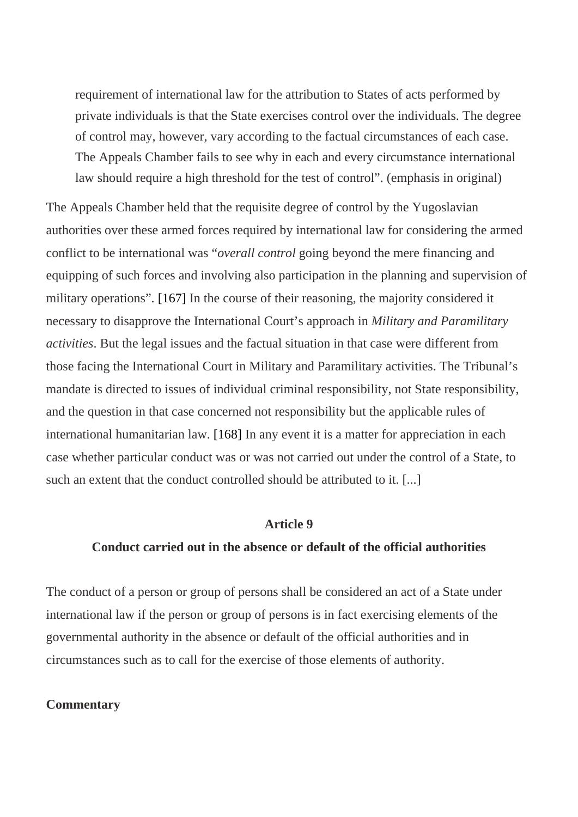<span id="page-5-0"></span>requirement of international law for the attribution to States of acts performed by private individuals is that the State exercises control over the individuals. The degree of control may, however, vary according to the factual circumstances of each case. The Appeals Chamber fails to see why in each and every circumstance international law should require a high threshold for the test of control". (emphasis in original)

The Appeals Chamber held that the requisite degree of control by the Yugoslavian authorities over these armed forces required by international law for considering the armed conflict to be international was " verall control going beyond the mere financing and equipping of such forces and involving also participation in the planning and supervision of military operations"[. \[167\]](#page-29-0) In the course of their reasoning, the majority considered it necessary to disapprove the International Court's approad hindright and Paramilitary activities. But the legal issues and the factual situation in that case were different from those facing the International Court in Military and Paramilitary activities. The Tribunal's mandate is directed to issues of individual criminal responsibility, not State responsibility, and the question in that case concerned not responsibility but the applicable rules of international humanitarian la $M68$ ] In any event it is a matter for appreciation in each case whether particular conduct was or was not carried out under the control of a State, to such an extent that the conduct controlled should be attributed to it. [...]

#### Article 9

Conduct carried out in the absence or default of the official authorities

The conduct of a person or group of persons shall be considered an act of a State under international law if the person or group of persons is in fact exercising elements of the governmental authority in the absence or default of the official authorities and in circumstances such as to call for the exercise of those elements of authority.

**Commentary**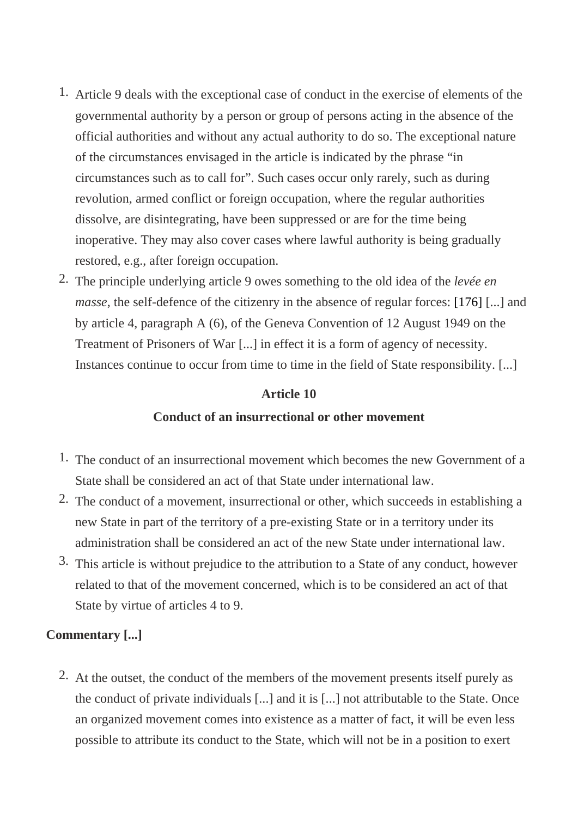- <span id="page-6-0"></span>1. Article 9 deals with the exceptional case of conduct in the exercise of elements of the governmental authority by a person or group of persons acting in the absence of the official authorities and without any actual authority to do so. The exceptional nature of the circumstances envisaged in the article is indicated by the phrase "in circumstances such as to call for". Such cases occur only rarely, such as during revolution, armed conflict or foreign occupation, where the regular authorities dissolve, are disintegrating, have been suppressed or are for the time being inoperative. They may also cover cases where lawful authority is being gradually restored, e.g., after foreign occupation.
- 2. The principle underlying article 9 owes something to the old idea déviée en massethe self-defence of the citizenry in the absence of regular followed: [...] and by article 4, paragraph A (6), of the Geneva Convention of 12 August 1949 on the Treatment of Prisoners of War [...] in effect it is a form of agency of necessity. Instances continue to occur from time to time in the field of State responsibility. [...]

## Article 10

Conduct of an insurrectional or other movement

- 1. The conduct of an insurrectional movement which becomes the new Government of a State shall be considered an act of that State under international law.
- 2. The conduct of a movement, insurrectional or other, which succeeds in establishing a new State in part of the territory of a pre-existing State or in a territory under its administration shall be considered an act of the new State under international law.
- 3. This article is without prejudice to the attribution to a State of any conduct, however related to that of the movement concerned, which is to be considered an act of that State by virtue of articles 4 to 9.

Commentary [...]

2. At the outset, the conduct of the members of the movement presents itself purely as the conduct of private individuals [...] and it is [...] not attributable to the State. Once an organized movement comes into existence as a matter of fact, it will be even less possible to attribute its conduct to the State, which will not be in a position to exert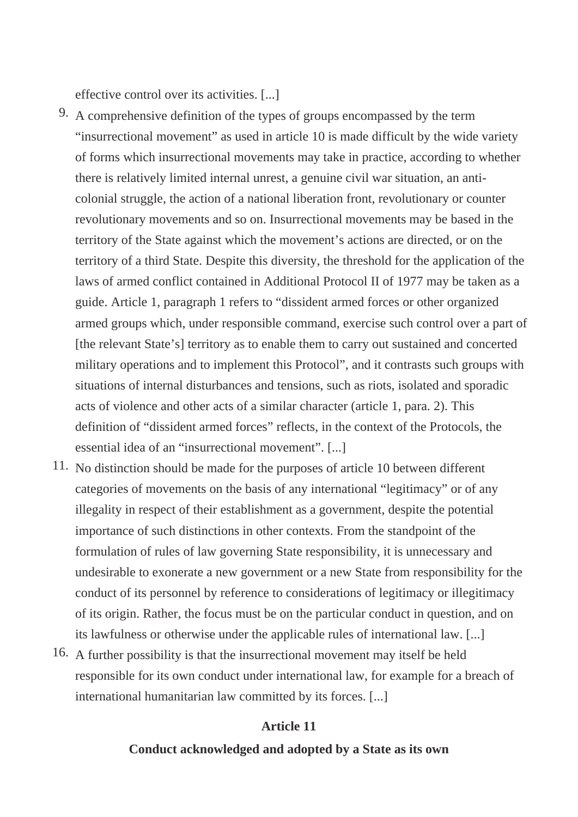effective control over its activities. [...]

- 9. A comprehensive definition of the types of groups encompassed by the term "insurrectional movement" as used in article 10 is made difficult by the wide variety of forms which insurrectional movements may take in practice, according to whether there is relatively limited internal unrest, a genuine civil war situation, an anticolonial struggle, the action of a national liberation front, revolutionary or counter revolutionary movements and so on. Insurrectional movements may be based in the territory of the State against which the movement's actions are directed, or on the territory of a third State. Despite this diversity, the threshold for the application of the laws of armed conflict contained in Additional Protocol II of 1977 may be taken as a guide. Article 1, paragraph 1 refers to "dissident armed forces or other organized armed groups which, under responsible command, exercise such control over a part of [the relevant State's] territory as to enable them to carry out sustained and concerted military operations and to implement this Protocol", and it contrasts such groups with situations of internal disturbances and tensions, such as riots, isolated and sporadic acts of violence and other acts of a similar character (article 1, para. 2). This definition of "dissident armed forces" reflects, in the context of the Protocols, the essential idea of an "insurrectional movement". [...]
- 11. No distinction should be made for the purposes of article 10 between different categories of movements on the basis of any international "legitimacy" or of any illegality in respect of their establishment as a government, despite the potential importance of such distinctions in other contexts. From the standpoint of the formulation of rules of law governing State responsibility, it is unnecessary and undesirable to exonerate a new government or a new State from responsibility for the conduct of its personnel by reference to considerations of legitimacy or illegitimacy of its origin. Rather, the focus must be on the particular conduct in question, and on its lawfulness or otherwise under the applicable rules of international law. [...]
- 16. A further possibility is that the insurrectional movement may itself be held responsible for its own conduct under international law, for example for a breach of international humanitarian law committed by its forces. [...]

#### **Article 11**

#### **Conduct acknowledged and adopted by a State as its own**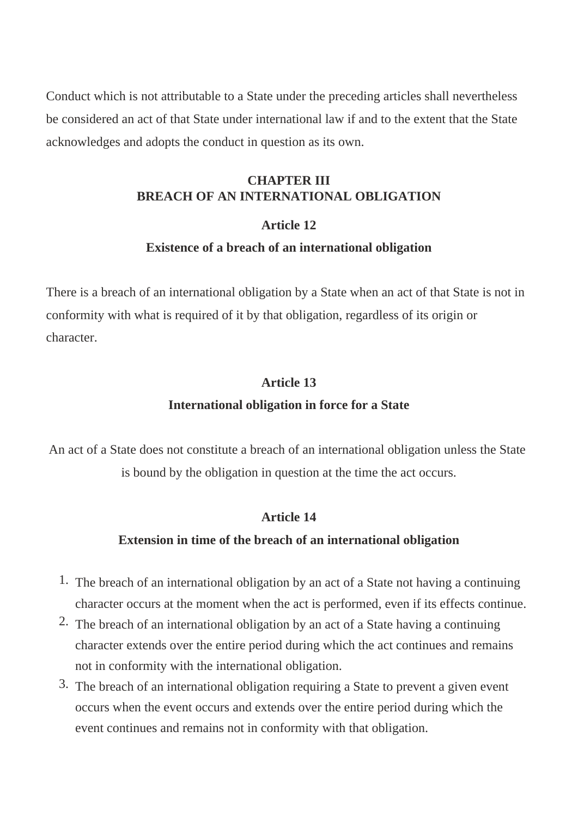Conduct which is not attributable to a State under the preceding articles shall nevertheless be considered an act of that State under international law if and to the extent that the State acknowledges and adopts the conduct in question as its own.

#### **CHAPTER III BREACH OF AN INTERNATIONAL OBLIGATION**

#### **Article 12**

#### **Existence of a breach of an international obligation**

There is a breach of an international obligation by a State when an act of that State is not in conformity with what is required of it by that obligation, regardless of its origin or character.

#### **Article 13**

#### **International obligation in force for a State**

An act of a State does not constitute a breach of an international obligation unless the State is bound by the obligation in question at the time the act occurs.

#### **Article 14**

#### **Extension in time of the breach of an international obligation**

- 1. The breach of an international obligation by an act of a State not having a continuing character occurs at the moment when the act is performed, even if its effects continue.
- 2. The breach of an international obligation by an act of a State having a continuing character extends over the entire period during which the act continues and remains not in conformity with the international obligation.
- 3. The breach of an international obligation requiring a State to prevent a given event occurs when the event occurs and extends over the entire period during which the event continues and remains not in conformity with that obligation.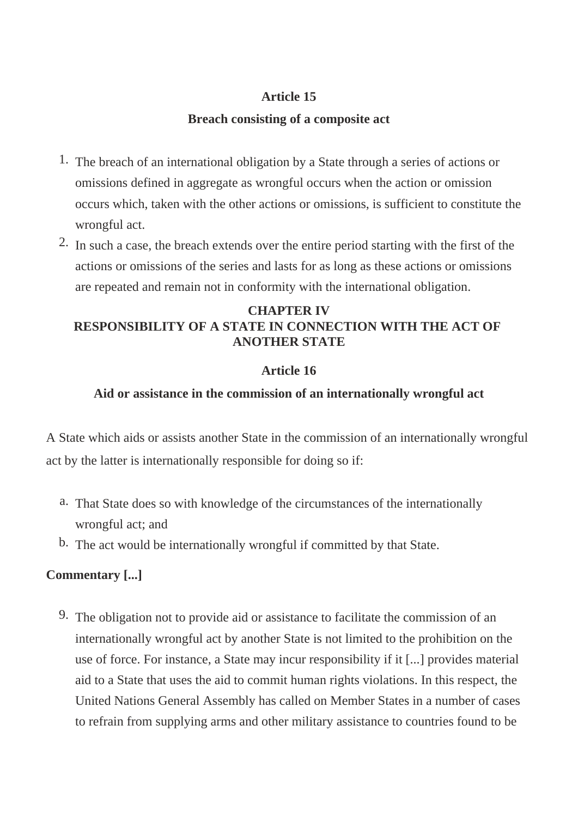#### **Article 15**

#### **Breach consisting of a composite act**

- 1. The breach of an international obligation by a State through a series of actions or omissions defined in aggregate as wrongful occurs when the action or omission occurs which, taken with the other actions or omissions, is sufficient to constitute the wrongful act.
- 2. In such a case, the breach extends over the entire period starting with the first of the actions or omissions of the series and lasts for as long as these actions or omissions are repeated and remain not in conformity with the international obligation.

## **CHAPTER IV RESPONSIBILITY OF A STATE IN CONNECTION WITH THE ACT OF ANOTHER STATE**

#### **Article 16**

#### **Aid or assistance in the commission of an internationally wrongful act**

A State which aids or assists another State in the commission of an internationally wrongful act by the latter is internationally responsible for doing so if:

- a. That State does so with knowledge of the circumstances of the internationally wrongful act; and
- b. The act would be internationally wrongful if committed by that State.

## **Commentary [...]**

9. The obligation not to provide aid or assistance to facilitate the commission of an internationally wrongful act by another State is not limited to the prohibition on the use of force. For instance, a State may incur responsibility if it [...] provides material aid to a State that uses the aid to commit human rights violations. In this respect, the United Nations General Assembly has called on Member States in a number of cases to refrain from supplying arms and other military assistance to countries found to be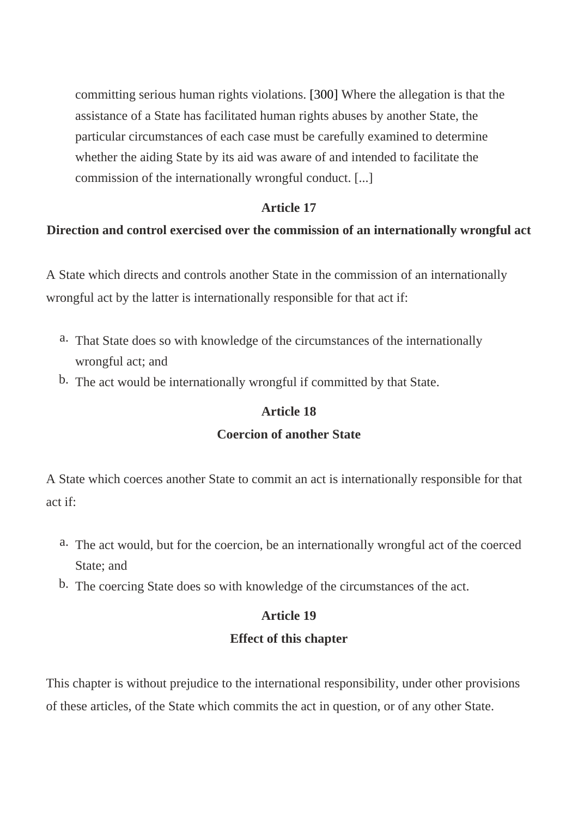<span id="page-10-0"></span>committing serious human rights violation 300] Where the allegation is that the assistance of a State has facilitated human rights abuses by another State, the particular circumstances of each case must be carefully examined to determine whether the aiding State by its aid was aware of and intended to facilitate the commission of the internationally wrongful conduct. [...]

# Article 17

Direction and control exercised over the commission of an internationally wrongfulct

A State which directs and controls another State in the commission of an internationally wrongful act by the latter is internationally responsible for that act if:

- a. That State does so with knowledge of the circumstances of the internationally wrongful act; and
- b. The act would be internationally wrongful if committed by that State.

## Article 18

# Coercion of another State

A State which coerces another State to commit an act is internationally responsible for that act if:

- a. The act would, but for the coercion, be an internationally wrongful act of the coerced State; and
- b. The coercing State does so with knowledge of the circumstances of the act.

## Article 19

## Effect of this chapter

This chapter is without prejudice to the international responsibility, under other provisions of these articles, of the State which commits the act in question, or of any other State.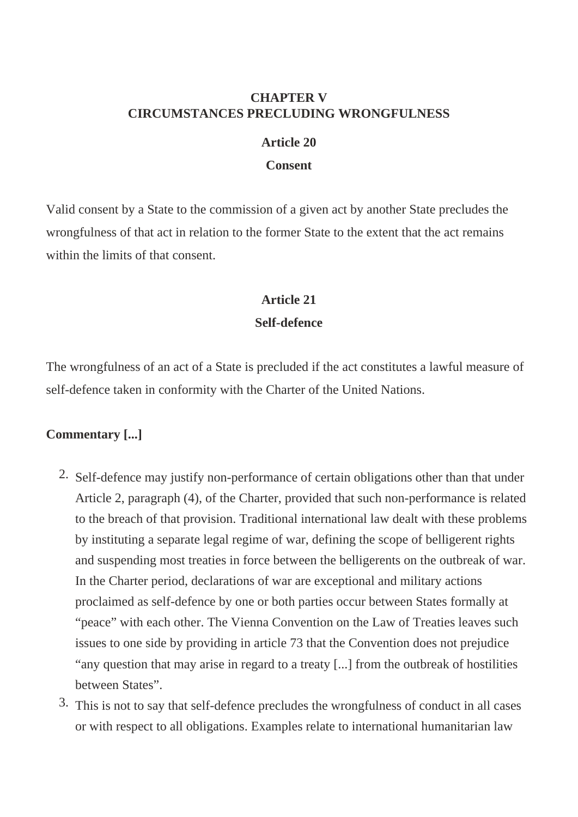#### **CHAPTER V CIRCUMSTANCES PRECLUDING WRONGFULNESS**

#### **Article 20**

**Consent**

Valid consent by a State to the commission of a given act by another State precludes the wrongfulness of that act in relation to the former State to the extent that the act remains within the limits of that consent.

# **Article 21 Self-defence**

The wrongfulness of an act of a State is precluded if the act constitutes a lawful measure of self-defence taken in conformity with the Charter of the United Nations.

#### **Commentary [...]**

- 2. Self-defence may justify non-performance of certain obligations other than that under Article 2, paragraph (4), of the Charter, provided that such non-performance is related to the breach of that provision. Traditional international law dealt with these problems by instituting a separate legal regime of war, defining the scope of belligerent rights and suspending most treaties in force between the belligerents on the outbreak of war. In the Charter period, declarations of war are exceptional and military actions proclaimed as self-defence by one or both parties occur between States formally at "peace" with each other. The Vienna Convention on the Law of Treaties leaves such issues to one side by providing in article 73 that the Convention does not prejudice "any question that may arise in regard to a treaty [...] from the outbreak of hostilities between States".
- 3. This is not to say that self-defence precludes the wrongfulness of conduct in all cases or with respect to all obligations. Examples relate to international humanitarian law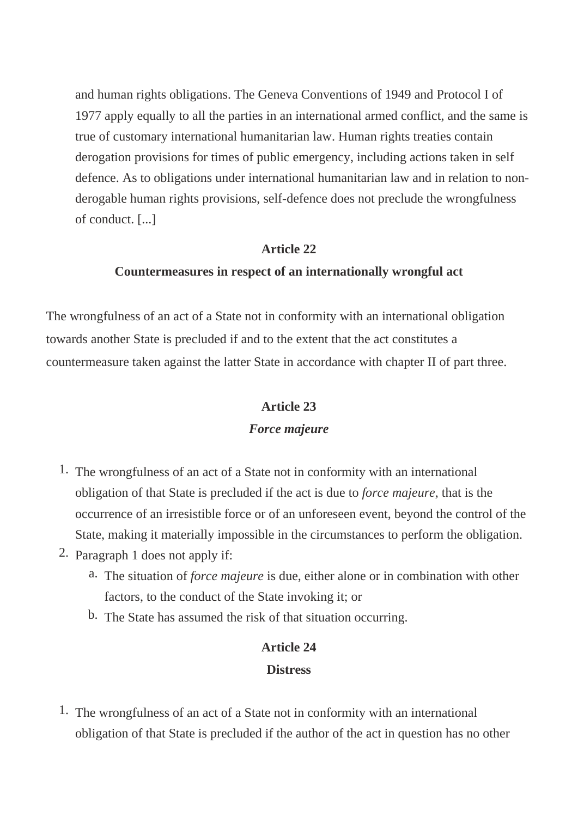and human rights obligations. The Geneva Conventions of 1949 and Protocol I of 1977 apply equally to all the parties in an international armed conflict, and the same is true of customary international humanitarian law. Human rights treaties contain derogation provisions for times of public emergency, including actions taken in self defence. As to obligations under international humanitarian law and in relation to nonderogable human rights provisions, self-defence does not preclude the wrongfulness of conduct. [...]

#### **Article 22**

#### **Countermeasures in respect of an internationally wrongful act**

The wrongfulness of an act of a State not in conformity with an international obligation towards another State is precluded if and to the extent that the act constitutes a countermeasure taken against the latter State in accordance with chapter II of part three.

#### **Article 23**

#### *Force majeure*

- 1. The wrongfulness of an act of a State not in conformity with an international obligation of that State is precluded if the act is due to *force majeure*, that is the occurrence of an irresistible force or of an unforeseen event, beyond the control of the State, making it materially impossible in the circumstances to perform the obligation.
- 2. Paragraph 1 does not apply if:
	- a. The situation of *force majeure* is due, either alone or in combination with other factors, to the conduct of the State invoking it; or
	- b. The State has assumed the risk of that situation occurring.

# **Article 24**

## **Distress**

1. The wrongfulness of an act of a State not in conformity with an international obligation of that State is precluded if the author of the act in question has no other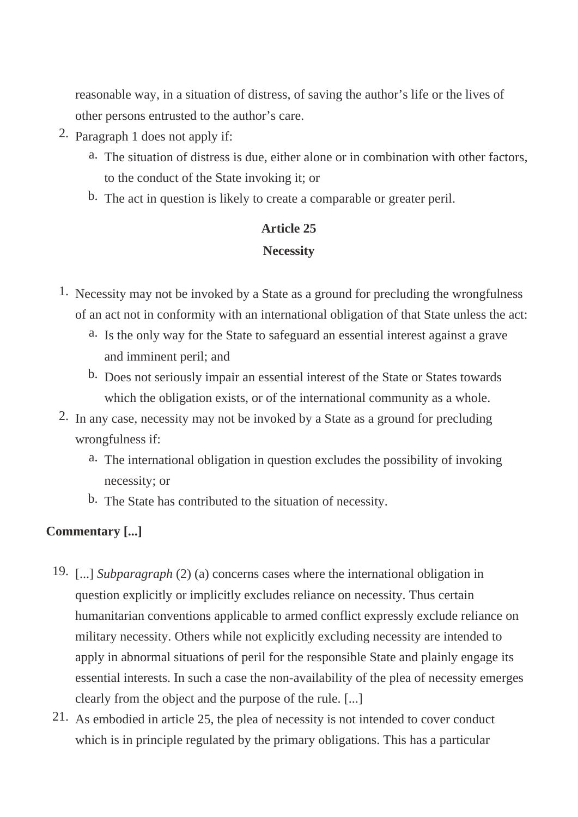reasonable way, in a situation of distress, of saving the author's life or the lives of other persons entrusted to the author's care.

- 2. Paragraph 1 does not apply if:
	- a. The situation of distress is due, either alone or in combination with other factors, to the conduct of the State invoking it; or
	- b. The act in question is likely to create a comparable or greater peril.

#### **Article 25**

#### **Necessity**

- 1. Necessity may not be invoked by a State as a ground for precluding the wrongfulness of an act not in conformity with an international obligation of that State unless the act:
	- a. Is the only way for the State to safeguard an essential interest against a grave and imminent peril; and
	- b. Does not seriously impair an essential interest of the State or States towards which the obligation exists, or of the international community as a whole.
- 2. In any case, necessity may not be invoked by a State as a ground for precluding wrongfulness if:
	- a. The international obligation in question excludes the possibility of invoking necessity; or
	- b. The State has contributed to the situation of necessity.

#### **Commentary [...]**

- 19. [...] *Subparagraph* (2) (a) concerns cases where the international obligation in question explicitly or implicitly excludes reliance on necessity. Thus certain humanitarian conventions applicable to armed conflict expressly exclude reliance on military necessity. Others while not explicitly excluding necessity are intended to apply in abnormal situations of peril for the responsible State and plainly engage its essential interests. In such a case the non-availability of the plea of necessity emerges clearly from the object and the purpose of the rule. [...]
- 21. As embodied in article 25, the plea of necessity is not intended to cover conduct which is in principle regulated by the primary obligations. This has a particular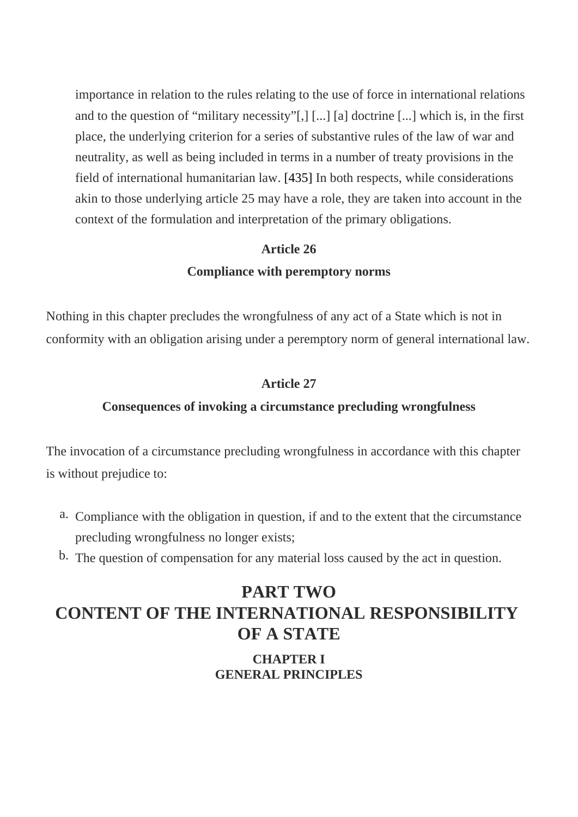<span id="page-14-0"></span>importance in relation to the rules relating to the use of force in international relations and to the question of "military necessity"[,] [...] [a] doctrine [...] which is, in the first place, the underlying criterion for a series of substantive rules of the law of war and neutrality, as well as being included in terms in a number of treaty provisions in the field of international humanitarian la\435] In both respects, while considerations akin to those underlying article 25 may have a role, they are taken into account in the context of the formulation and interpretation of the primary obligations.

## Article 26

Compliance with peremptory norms

Nothing in this chapter precludes the wrongfulness of any act of a State which is not in conformity with an obligation arising under a peremptory norm of general international law.

# Article 27

Consequences of invoking a circumstance precluding wrongfulness

The invocation of a circumstance precluding wrongfulness in accordance with this chapter is without prejudice to:

- a. Compliance with the obligation in question, if and to the extent that the circumstance precluding wrongfulness no longer exists;
- b. The question of compensation for any material loss caused by the act in question.

# PART TWO CONTENT OF THE INTERNATIONAL RESPONSIBILITY OF A STATE

# CHAPTER I GENERAL PRINCIPLES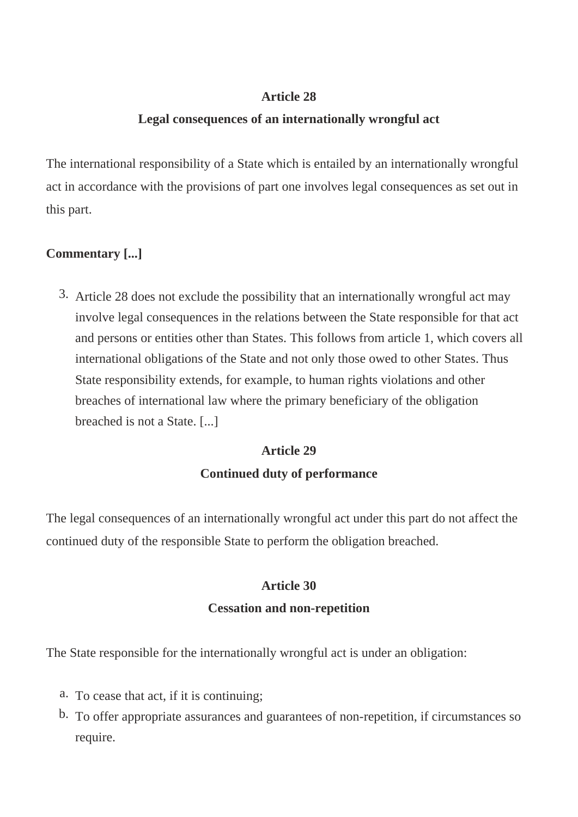#### **Article 28**

#### **Legal consequences of an internationally wrongful act**

The international responsibility of a State which is entailed by an internationally wrongful act in accordance with the provisions of part one involves legal consequences as set out in this part.

#### **Commentary [...]**

3. Article 28 does not exclude the possibility that an internationally wrongful act may involve legal consequences in the relations between the State responsible for that act and persons or entities other than States. This follows from article 1, which covers all international obligations of the State and not only those owed to other States. Thus State responsibility extends, for example, to human rights violations and other breaches of international law where the primary beneficiary of the obligation breached is not a State. [...]

# **Article 29 Continued duty of performance**

The legal consequences of an internationally wrongful act under this part do not affect the continued duty of the responsible State to perform the obligation breached.

#### **Article 30**

#### **Cessation and non-repetition**

The State responsible for the internationally wrongful act is under an obligation:

- a. To cease that act, if it is continuing;
- b. To offer appropriate assurances and guarantees of non-repetition, if circumstances so require.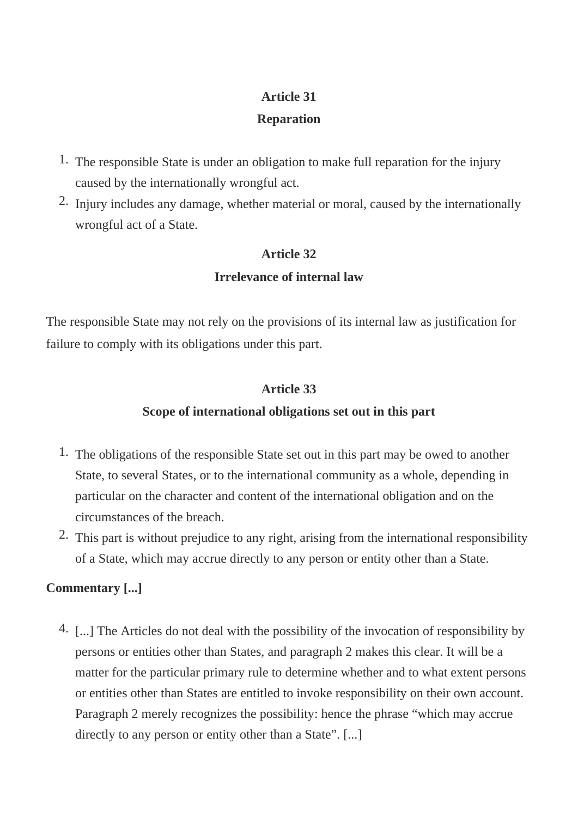#### **Article 31**

#### **Reparation**

- 1. The responsible State is under an obligation to make full reparation for the injury caused by the internationally wrongful act.
- 2. Injury includes any damage, whether material or moral, caused by the internationally wrongful act of a State.

## **Article 32**

## **Irrelevance of internal law**

The responsible State may not rely on the provisions of its internal law as justification for failure to comply with its obligations under this part.

#### **Article 33**

## **Scope of international obligations set out in this part**

- 1. The obligations of the responsible State set out in this part may be owed to another State, to several States, or to the international community as a whole, depending in particular on the character and content of the international obligation and on the circumstances of the breach.
- 2. This part is without prejudice to any right, arising from the international responsibility of a State, which may accrue directly to any person or entity other than a State.

## **Commentary [...]**

4. [...] The Articles do not deal with the possibility of the invocation of responsibility by persons or entities other than States, and paragraph 2 makes this clear. It will be a matter for the particular primary rule to determine whether and to what extent persons or entities other than States are entitled to invoke responsibility on their own account. Paragraph 2 merely recognizes the possibility: hence the phrase "which may accrue directly to any person or entity other than a State". [...]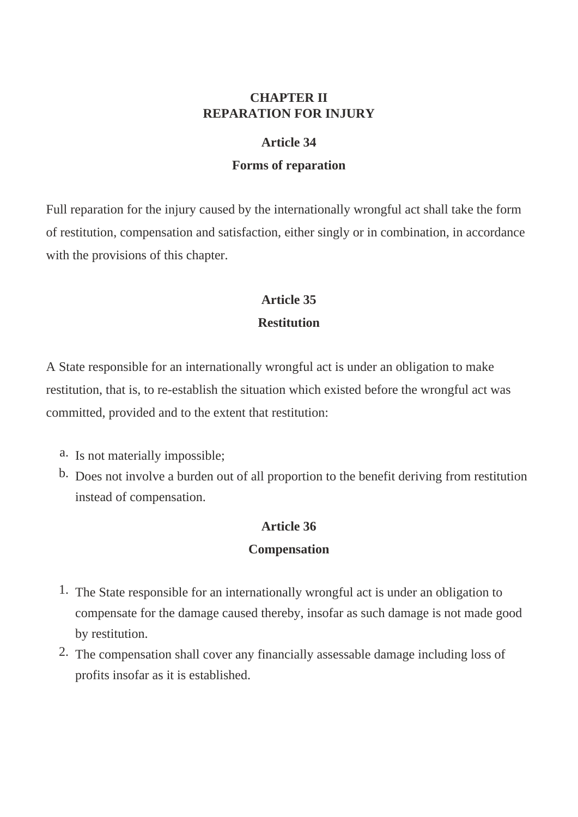#### **CHAPTER II REPARATION FOR INJURY**

#### **Article 34**

#### **Forms of reparation**

Full reparation for the injury caused by the internationally wrongful act shall take the form of restitution, compensation and satisfaction, either singly or in combination, in accordance with the provisions of this chapter.

# **Article 35 Restitution**

A State responsible for an internationally wrongful act is under an obligation to make restitution, that is, to re-establish the situation which existed before the wrongful act was committed, provided and to the extent that restitution:

- a. Is not materially impossible;
- b. Does not involve a burden out of all proportion to the benefit deriving from restitution instead of compensation.

#### **Article 36**

#### **Compensation**

- 1. The State responsible for an internationally wrongful act is under an obligation to compensate for the damage caused thereby, insofar as such damage is not made good by restitution.
- 2. The compensation shall cover any financially assessable damage including loss of profits insofar as it is established.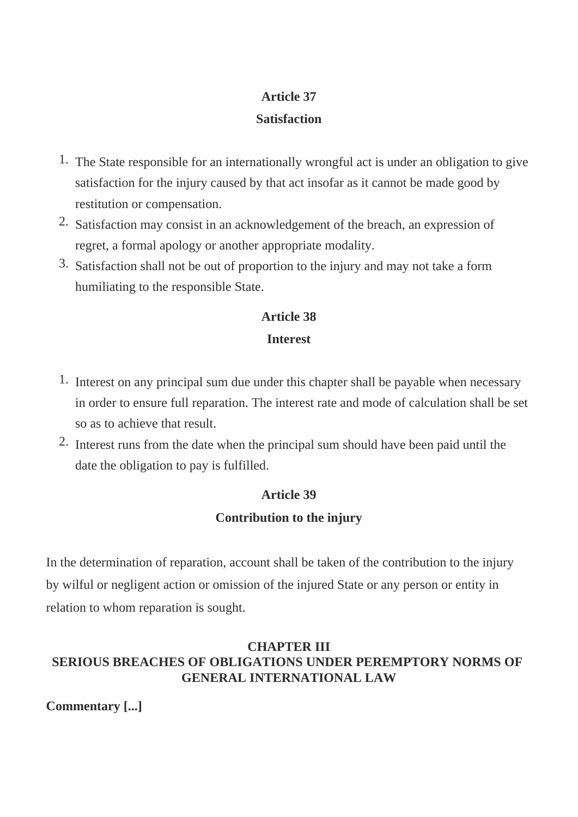#### **Article 37**

## **Satisfaction**

- 1. The State responsible for an internationally wrongful act is under an obligation to give satisfaction for the injury caused by that act insofar as it cannot be made good by restitution or compensation.
- 2. Satisfaction may consist in an acknowledgement of the breach, an expression of regret, a formal apology or another appropriate modality.
- 3. Satisfaction shall not be out of proportion to the injury and may not take a form humiliating to the responsible State.

## **Article 38**

#### **Interest**

- 1. Interest on any principal sum due under this chapter shall be payable when necessary in order to ensure full reparation. The interest rate and mode of calculation shall be set so as to achieve that result.
- 2. Interest runs from the date when the principal sum should have been paid until the date the obligation to pay is fulfilled.

#### **Article 39**

#### **Contribution to the injury**

In the determination of reparation, account shall be taken of the contribution to the injury by wilful or negligent action or omission of the injured State or any person or entity in relation to whom reparation is sought.

#### **CHAPTER III SERIOUS BREACHES OF OBLIGATIONS UNDER PEREMPTORY NORMS OF GENERAL INTERNATIONAL LAW**

**Commentary [...]**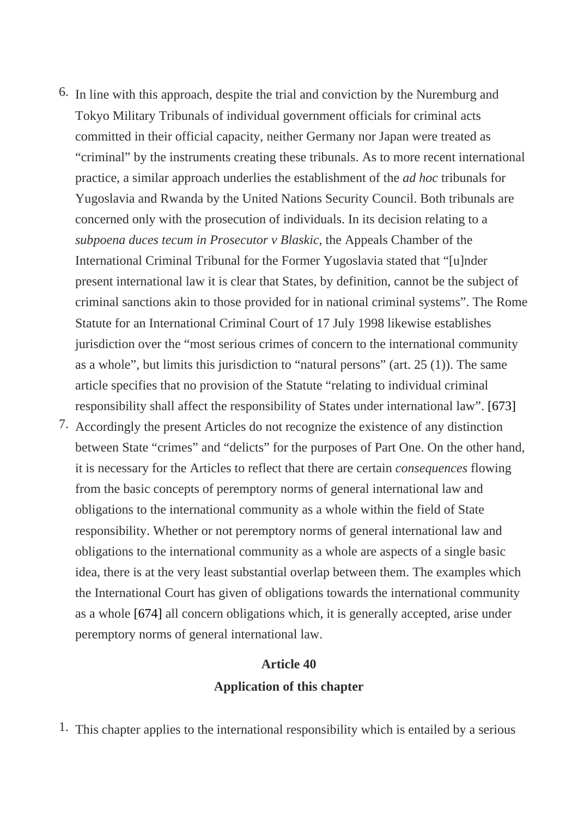- <span id="page-19-0"></span>6. In line with this approach, despite the trial and conviction by the Nuremburg and Tokyo Military Tribunals of individual government officials for criminal acts committed in their official capacity, neither Germany nor Japan were treated as "criminal" by the instruments creating these tribunals. As to more recent international practice, a similar approach underlies the establishment ad the ctribunals for Yugoslavia and Rwanda by the United Nations Security Council. Both tribunals are concerned only with the prosecution of individuals. In its decision relating to a subpoena duces tecum in Prosecutor v Blaskie Appeals Chamber of the International Criminal Tribunal for the Former Yugoslavia stated that "[u]nder present international law it is clear that States, by definition, cannot be the subject of criminal sanctions akin to those provided for in national criminal systems". The Rome Statute for an International Criminal Court of 17 July 1998 likewise establishes jurisdiction over the "most serious crimes of concern to the international community as a whole", but limits this jurisdiction to "natural persons" (art. 25 (1)). The same article specifies that no provision of the Statute "relating to individual criminal responsibility shall affect the responsibility of States under international [678]
- 7. Accordingly the present Articles do not recognize the existence of any distinction between State "crimes" and "delicts" for the purposes of Part One. On the other hand, it is necessary for the Articles to reflect that there are certain sequence sowing from the basic concepts of peremptory norms of general international law and obligations to the international community as a whole within the field of State responsibility. Whether or not peremptory norms of general international law and obligations to the international community as a whole are aspects of a single basic idea, there is at the very least substantial overlap between them. The examples which the International Court has given of obligations towards the international community as a whole 674] all concern obligations which, it is generally accepted, arise under peremptory norms of general international law.

Article 40 Application of this chapter

1. This chapter applies to the international responsibility which is entailed by a serious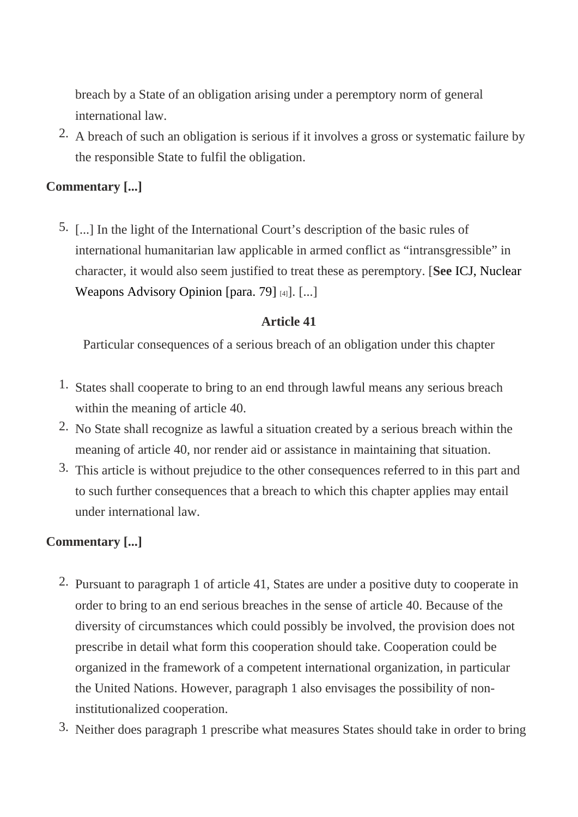breach by a State of an obligation arising under a peremptory norm of general international law.

2. A breach of such an obligation is serious if it involves a gross or systematic failure by the responsible State to fulfil the obligation.

Commentary [...]

5. [...] In the light of the International Court's description of the basic rules of international humanitarian law applicable in armed conflict as "intransgressible" in character, it would also seem justified to treat these as peremptor U. Nuclear [Weapons Advisory Opinion \[para. 7](https://casebook.icrc.org/case-study/icj-nuclear-weapons-advisory-opinion#para79)9]. [...]

# Article 41

Particular consequences of a serious breach of an obligation under this chapter

- 1. States shall cooperate to bring to an end through lawful means any serious breach within the meaning of article 40.
- 2. No State shall recognize as lawful a situation created by a serious breach within the meaning of article 40, nor render aid or assistance in maintaining that situation.
- 3. This article is without prejudice to the other consequences referred to in this part and to such further consequences that a breach to which this chapter applies may entail under international law.

Commentary [...]

- 2. Pursuant to paragraph 1 of article 41, States are under a positive duty to cooperate in order to bring to an end serious breaches in the sense of article 40. Because of the diversity of circumstances which could possibly be involved, the provision does not prescribe in detail what form this cooperation should take. Cooperation could be organized in the framework of a competent international organization, in particular the United Nations. However, paragraph 1 also envisages the possibility of noninstitutionalized cooperation.
- 3. Neither does paragraph 1 prescribe what measures States should take in order to bring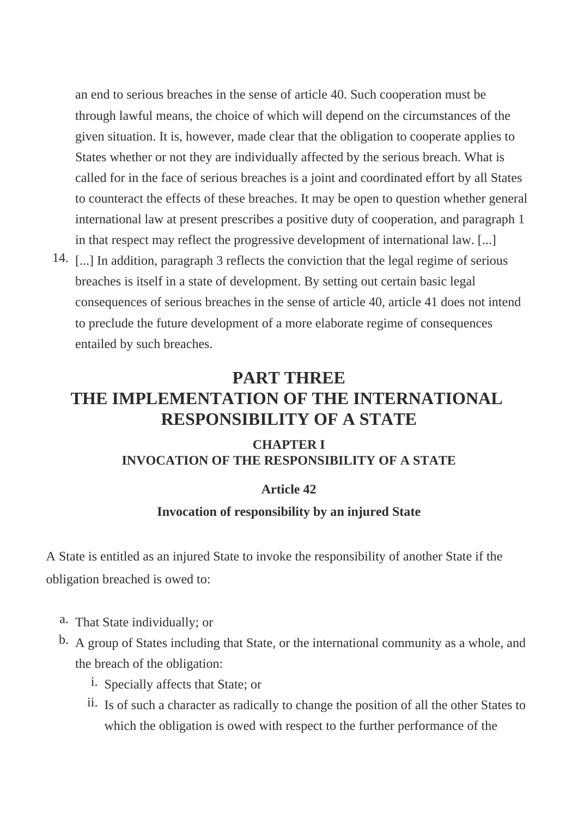an end to serious breaches in the sense of article 40. Such cooperation must be through lawful means, the choice of which will depend on the circumstances of the given situation. It is, however, made clear that the obligation to cooperate applies to States whether or not they are individually affected by the serious breach. What is called for in the face of serious breaches is a joint and coordinated effort by all States to counteract the effects of these breaches. It may be open to question whether general international law at present prescribes a positive duty of cooperation, and paragraph 1 in that respect may reflect the progressive development of international law. [...]

14. [...] In addition, paragraph 3 reflects the conviction that the legal regime of serious breaches is itself in a state of development. By setting out certain basic legal consequences of serious breaches in the sense of article 40, article 41 does not intend to preclude the future development of a more elaborate regime of consequences entailed by such breaches.

# **PART THREE THE IMPLEMENTATION OF THE INTERNATIONAL RESPONSIBILITY OF A STATE**

## **CHAPTER I INVOCATION OF THE RESPONSIBILITY OF A STATE**

#### **Article 42**

#### **Invocation of responsibility by an injured State**

A State is entitled as an injured State to invoke the responsibility of another State if the obligation breached is owed to:

- a. That State individually; or
- b. A group of States including that State, or the international community as a whole, and the breach of the obligation:
	- i. Specially affects that State; or
	- ii. Is of such a character as radically to change the position of all the other States to which the obligation is owed with respect to the further performance of the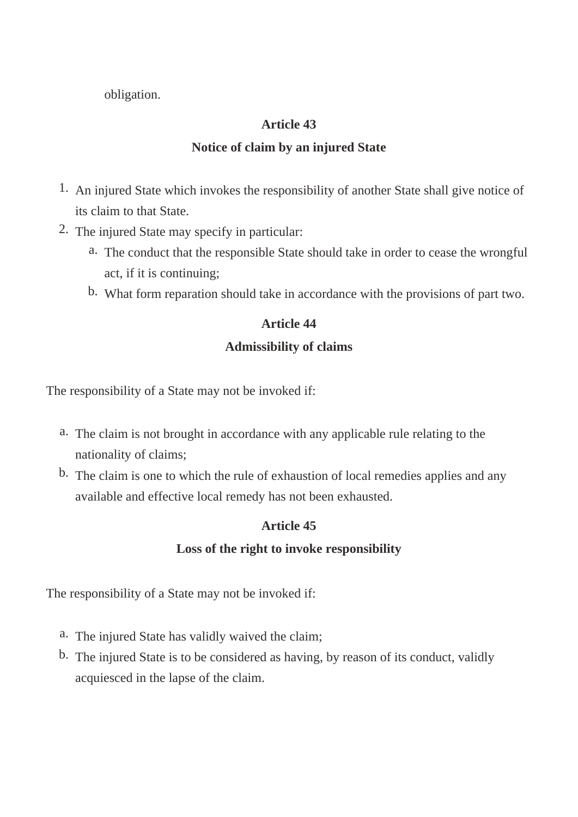obligation.

# **Article 43**

## **Notice of claim by an injured State**

- 1. An injured State which invokes the responsibility of another State shall give notice of its claim to that State.
- 2. The injured State may specify in particular:
	- a. The conduct that the responsible State should take in order to cease the wrongful act, if it is continuing;
	- b. What form reparation should take in accordance with the provisions of part two.

# **Article 44 Admissibility of claims**

The responsibility of a State may not be invoked if:

- a. The claim is not brought in accordance with any applicable rule relating to the nationality of claims;
- b. The claim is one to which the rule of exhaustion of local remedies applies and any available and effective local remedy has not been exhausted.

## **Article 45**

# **Loss of the right to invoke responsibility**

The responsibility of a State may not be invoked if:

- a. The injured State has validly waived the claim;
- b. The injured State is to be considered as having, by reason of its conduct, validly acquiesced in the lapse of the claim.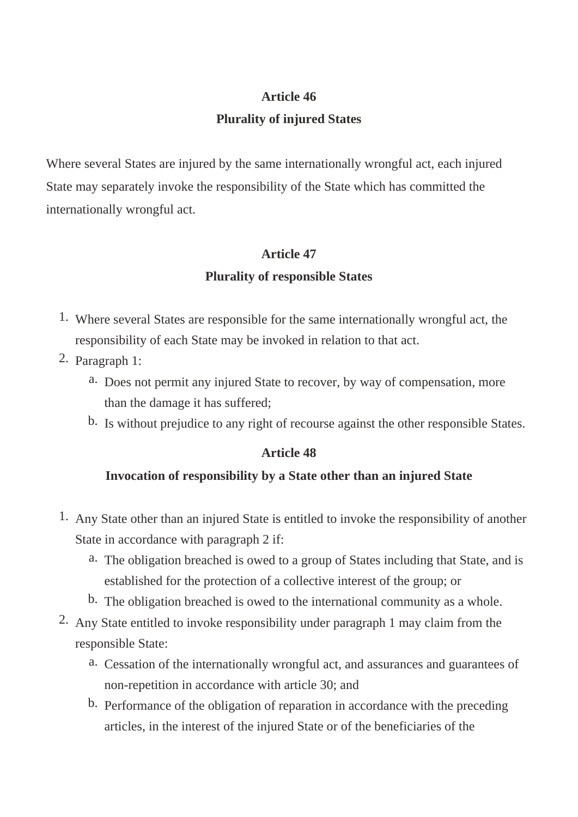# **Article 46 Plurality of injured States**

Where several States are injured by the same internationally wrongful act, each injured State may separately invoke the responsibility of the State which has committed the internationally wrongful act.

#### **Article 47**

#### **Plurality of responsible States**

- 1. Where several States are responsible for the same internationally wrongful act, the responsibility of each State may be invoked in relation to that act.
- 2. Paragraph 1:
	- a. Does not permit any injured State to recover, by way of compensation, more than the damage it has suffered;
	- b. Is without prejudice to any right of recourse against the other responsible States.

## **Article 48**

## **Invocation of responsibility by a State other than an injured State**

- 1. Any State other than an injured State is entitled to invoke the responsibility of another State in accordance with paragraph 2 if:
	- a. The obligation breached is owed to a group of States including that State, and is established for the protection of a collective interest of the group; or
	- b. The obligation breached is owed to the international community as a whole.
- 2. Any State entitled to invoke responsibility under paragraph 1 may claim from the responsible State:
	- a. Cessation of the internationally wrongful act, and assurances and guarantees of non-repetition in accordance with article 30; and
	- b. Performance of the obligation of reparation in accordance with the preceding articles, in the interest of the injured State or of the beneficiaries of the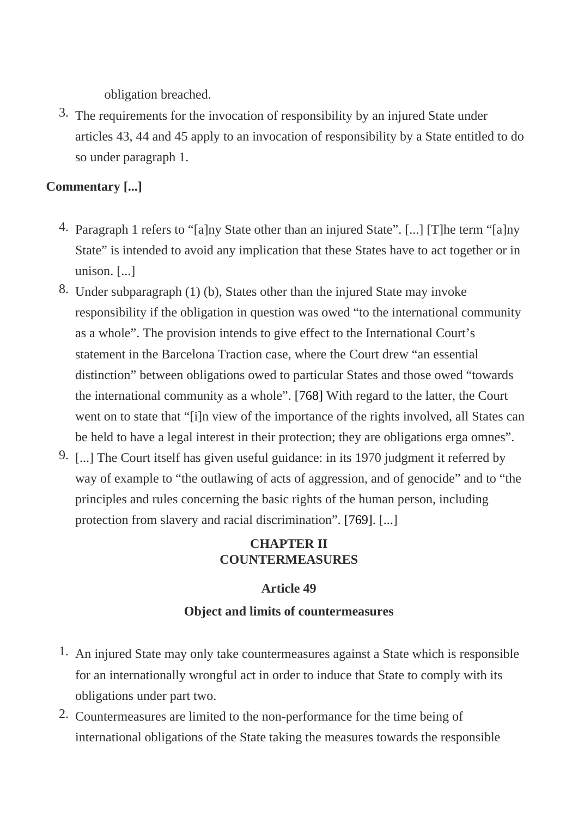obligation breached.

<span id="page-24-0"></span>3. The requirements for the invocation of responsibility by an injured State under articles 43, 44 and 45 apply to an invocation of responsibility by a State entitled to do so under paragraph 1.

Commentary [...]

- 4. Paragraph 1 refers to "[a]ny State other than an injured State". [...] [T]he term "[a]ny State" is intended to avoid any implication that these States have to act together or in unison. [...]
- 8. Under subparagraph (1) (b), States other than the injured State may invoke responsibility if the obligation in question was owed "to the international community as a whole". The provision intends to give effect to the International Court's statement in the Barcelona Traction case, where the Court drew "an essential distinction" between obligations owed to particular States and those owed "towards the international community as a whole 68] With regard to the latter, the Court went on to state that "[i]n view of the importance of the rights involved, all States can be held to have a legal interest in their protection; they are obligations erga omnes".
- 9. [...] The Court itself has given useful guidance: in its 1970 judgment it referred by way of example to "the outlawing of acts of aggression, and of genocide" and to "the principles and rules concerning the basic rights of the human person, including protection from slavery and racial discrimination<sup>769</sup>. [...]

# CHAPTER II COUNTERMEASURES

# Article 49

Object and limits of countermeasures

- 1. An injured State may only take countermeasures against a State which is responsible for an internationally wrongful act in order to induce that State to comply with its obligations under part two.
- 2. Countermeasures are limited to the non-performance for the time being of international obligations of the State taking the measures towards the responsible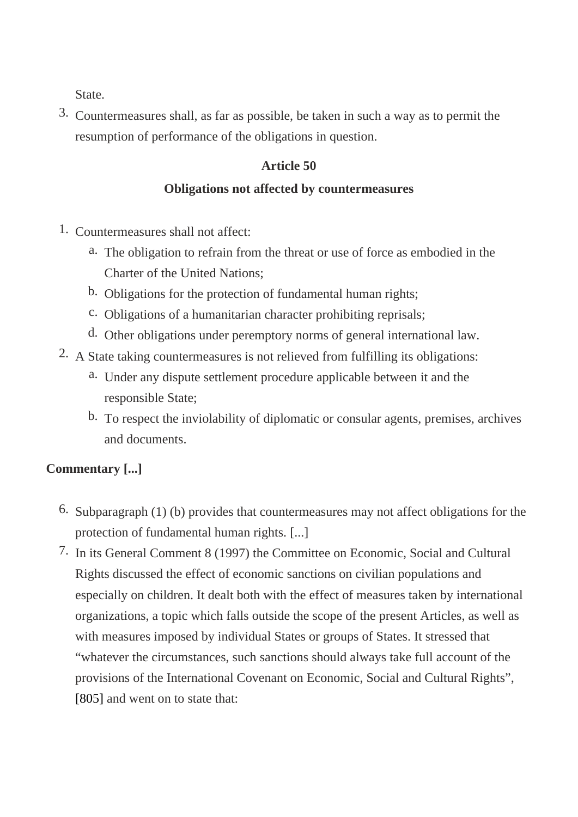<span id="page-25-0"></span>State.

3. Countermeasures shall, as far as possible, be taken in such a way as to permit the resumption of performance of the obligations in question.

# Article 50

# Obligations not affected by countermeasures

- 1. Countermeasures shall not affect:
	- a. The obligation to refrain from the threat or use of force as embodied in the Charter of the United Nations;
	- b. Obligations for the protection of fundamental human rights;
	- c. Obligations of a humanitarian character prohibiting reprisals;
	- d. Other obligations under peremptory norms of general international law.
- 2. A State taking countermeasures is not relieved from fulfilling its obligations:
	- a. Under any dispute settlement procedure applicable between it and the responsible State;
	- b. To respect the inviolability of diplomatic or consular agents, premises, archives and documents.

Commentary [...]

- 6. Subparagraph (1) (b) provides that countermeasures may not affect obligations for the protection of fundamental human rights. [...]
- 7. In its General Comment 8 (1997) the Committee on Economic, Social and Cultural Rights discussed the effect of economic sanctions on civilian populations and especially on children. It dealt both with the effect of measures taken by international organizations, a topic which falls outside the scope of the present Articles, as well as with measures imposed by individual States or groups of States. It stressed that "whatever the circumstances, such sanctions should always take full account of the provisions of the International Covenant on Economic, Social and Cultural Rights", [\[805\]](#page-31-0) and went on to state that: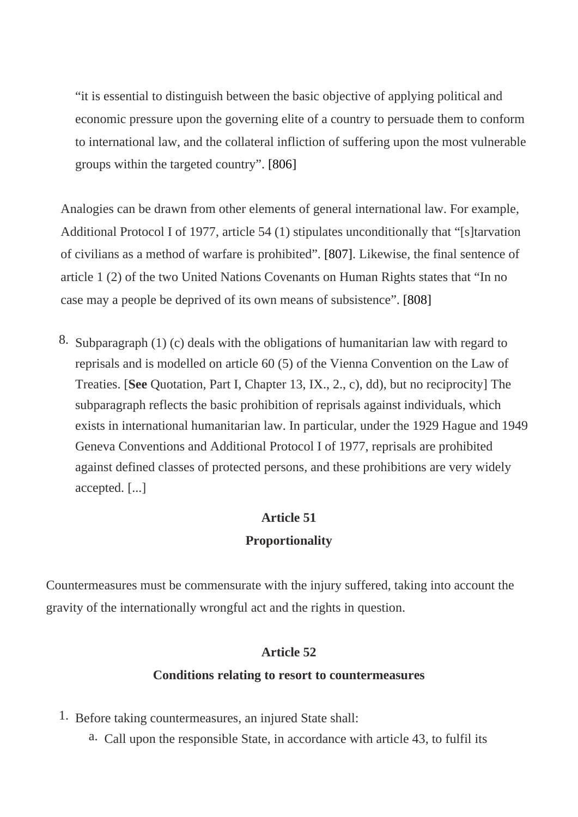<span id="page-26-0"></span>"it is essential to distinguish between the basic objective of applying political and economic pressure upon the governing elite of a country to persuade them to conform to international law, and the collateral infliction of suffering upon the most vulnerable groups within the targeted country806].

Analogies can be drawn from other elements of general international law. For example, Additional Protocol I of 1977, article 54 (1) stipulates unconditionally that "[s]tarvation of civilians as a method of warfare is prohibite **807**. Likewise, the final sentence of article 1 (2) of the two United Nations Covenants on Human Rights states that "In no case may a people be deprived of its own means of subsist  $80.81$ .

8. Subparagraph (1) (c) deals with the obligations of humanitarian law with regard to reprisals and is modelled on article 60 (5) of the Vienna Convention on the Law of Treaties. See Quotation, Part I, Chapter 13, IX., 2., c), dd), but no reciprocity] The subparagraph reflects the basic prohibition of reprisals against individuals, which exists in international humanitarian law. In particular, under the 1929 Hague and 1949 Geneva Conventions and Additional Protocol I of 1977, reprisals are prohibited against defined classes of protected persons, and these prohibitions are very widely accepted. [...]

## Article 51

# **Proportionality**

Countermeasures must be commensurate with the injury suffered, taking into account the gravity of the internationally wrongful act and the rights in question.

# Article 52

Conditions relating to resort to countermeasures

- 1. Before taking countermeasures, an injured State shall:
	- a. Call upon the responsible State, in accordance with article 43, to fulfil its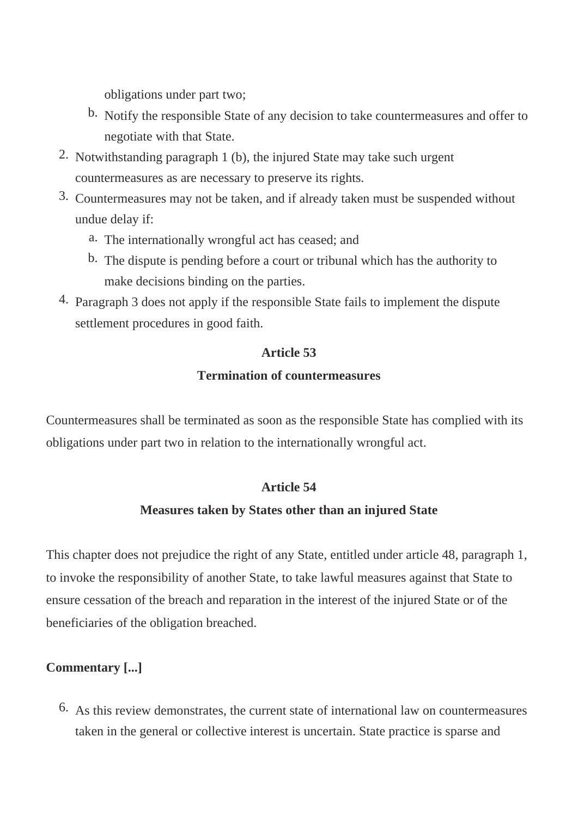obligations under part two;

- b. Notify the responsible State of any decision to take countermeasures and offer to negotiate with that State.
- 2. Notwithstanding paragraph 1 (b), the injured State may take such urgent countermeasures as are necessary to preserve its rights.
- 3. Countermeasures may not be taken, and if already taken must be suspended without undue delay if:
	- a. The internationally wrongful act has ceased; and
	- b. The dispute is pending before a court or tribunal which has the authority to make decisions binding on the parties.
- 4. Paragraph 3 does not apply if the responsible State fails to implement the dispute settlement procedures in good faith.

#### **Article 53**

#### **Termination of countermeasures**

Countermeasures shall be terminated as soon as the responsible State has complied with its obligations under part two in relation to the internationally wrongful act.

## **Article 54**

## **Measures taken by States other than an injured State**

This chapter does not prejudice the right of any State, entitled under article 48, paragraph 1, to invoke the responsibility of another State, to take lawful measures against that State to ensure cessation of the breach and reparation in the interest of the injured State or of the beneficiaries of the obligation breached.

## **Commentary [...]**

6. As this review demonstrates, the current state of international law on countermeasures taken in the general or collective interest is uncertain. State practice is sparse and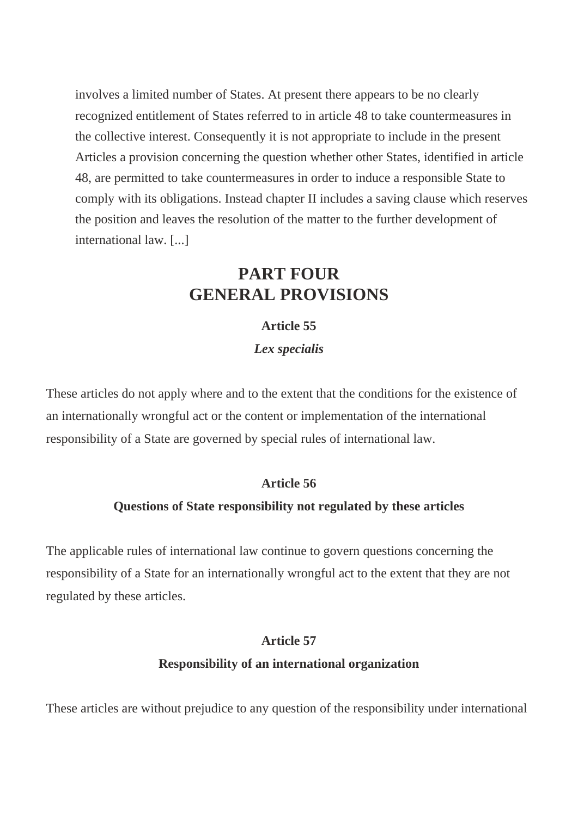involves a limited number of States. At present there appears to be no clearly recognized entitlement of States referred to in article 48 to take countermeasures in the collective interest. Consequently it is not appropriate to include in the present Articles a provision concerning the question whether other States, identified in article 48, are permitted to take countermeasures in order to induce a responsible State to comply with its obligations. Instead chapter II includes a saving clause which reserves the position and leaves the resolution of the matter to the further development of international law. [...]

# **PART FOUR GENERAL PROVISIONS**

#### **Article 55**

#### *Lex specialis*

These articles do not apply where and to the extent that the conditions for the existence of an internationally wrongful act or the content or implementation of the international responsibility of a State are governed by special rules of international law.

#### **Article 56**

#### **Questions of State responsibility not regulated by these articles**

The applicable rules of international law continue to govern questions concerning the responsibility of a State for an internationally wrongful act to the extent that they are not regulated by these articles.

#### **Article 57**

#### **Responsibility of an international organization**

These articles are without prejudice to any question of the responsibility under international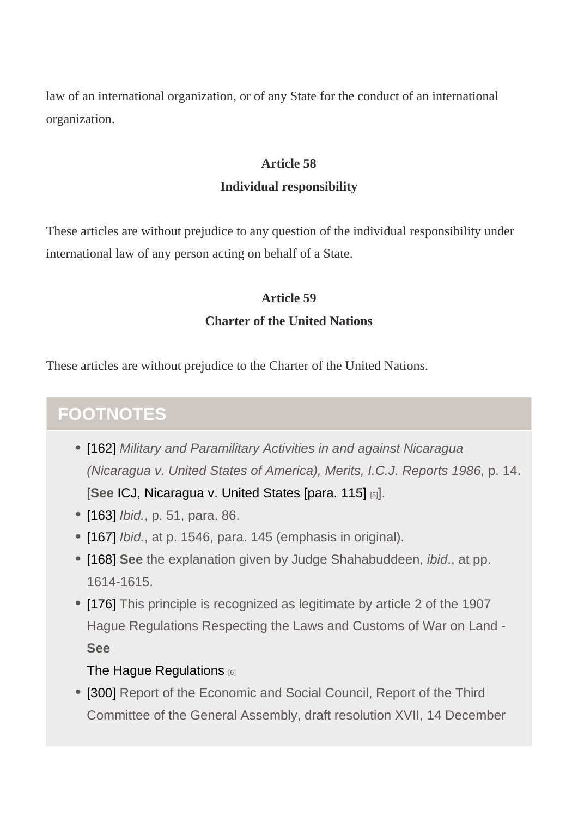<span id="page-29-0"></span>law of an international organization, or of any State for the conduct of an international organization.

## Article 58

# Individual responsibility

These articles are without prejudice to any question of the individual responsibility under international law of any person acting on behalf of a State.

# Article 59 Charter of the United Nations

These articles are without prejudice to the Charter of the United Nations.

# FOOTNOTES

- [\[162\]](#page-4-0) Military and Paramilitary Activities in and against Nicaragua (Nicaragua v. United States of America), Merits, I.C.J. Reports 1986, p. 14. [See [ICJ, Nicaragua v. United States \[para. 115\]](https://casebook.icrc.org/case-study/icj-nicaragua-v-united-states#para115) [5].
- [\[163\]](#page-4-0) Ibid., p. 51, para. 86.
- [\[167\]](#page-5-0) Ibid., at p. 1546, para. 145 (emphasis in original).
- [\[168\]](#page-5-0) See the explanation given by Judge Shahabuddeen, ibid., at pp. 1614-1615.
- [\[176\]](#page-6-0) This principle is recognized as legitimate by article 2 of the 1907 Hague Regulations Respecting the Laws and Customs of War on Land - See

# [The Hague Regulations](http://www.icrc.org/ihl.nsf/FULL/195) [6]

• [\[300\]](#page-10-0) Report of the Economic and Social Council, Report of the Third Committee of the General Assembly, draft resolution XVII, 14 December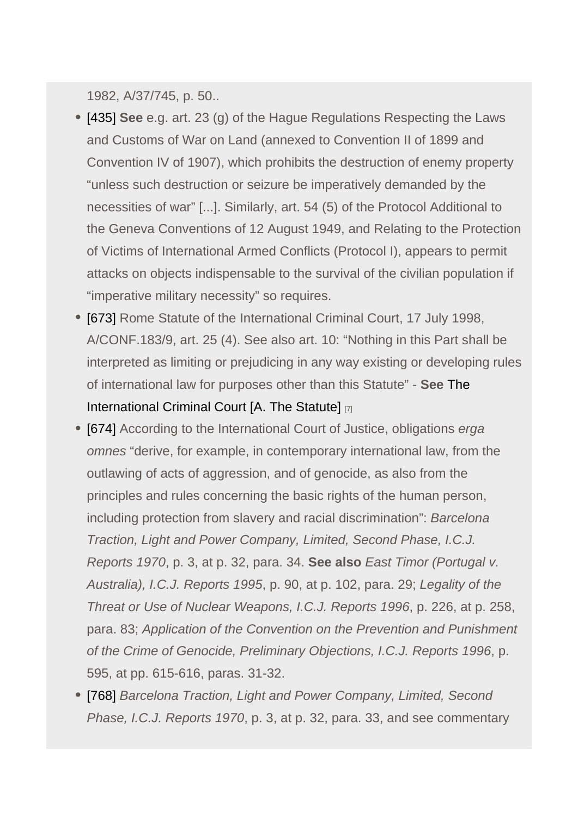<span id="page-30-0"></span>1982, A/37/745, p. 50..

- [\[435\]](#page-14-0) See e.g. art. 23 (g) of the Hague Regulations Respecting the Laws and Customs of War on Land (annexed to Convention II of 1899 and Convention IV of 1907), which prohibits the destruction of enemy property "unless such destruction or seizure be imperatively demanded by the necessities of war" [...]. Similarly, art. 54 (5) of the Protocol Additional to the Geneva Conventions of 12 August 1949, and Relating to the Protection of Victims of International Armed Conflicts (Protocol I), appears to permit attacks on objects indispensable to the survival of the civilian population if "imperative military necessity" so requires.
- [\[673\]](#page-19-0) Rome Statute of the International Criminal Court, 17 July 1998, A/CONF.183/9, art. 25 (4). See also art. 10: "Nothing in this Part shall be interpreted as limiting or prejudicing in any way existing or developing rules of international law for purposes other than this Statute" - See [The](https://casebook.icrc.org/case-study/international-criminal-court#a_statute)  [International Criminal Court \[A. The Statute\]](https://casebook.icrc.org/case-study/international-criminal-court#a_statute) [7]
- [\[674\]](#page-19-0) According to the International Court of Justice, obligations erga omnes "derive, for example, in contemporary international law, from the outlawing of acts of aggression, and of genocide, as also from the principles and rules concerning the basic rights of the human person, including protection from slavery and racial discrimination": Barcelona Traction, Light and Power Company, Limited, Second Phase, I.C.J. Reports 1970, p. 3, at p. 32, para. 34. See also East Timor (Portugal v. Australia), I.C.J. Reports 1995, p. 90, at p. 102, para. 29; Legality of the Threat or Use of Nuclear Weapons, I.C.J. Reports 1996, p. 226, at p. 258, para. 83; Application of the Convention on the Prevention and Punishment of the Crime of Genocide, Preliminary Objections, I.C.J. Reports 1996, p. 595, at pp. 615-616, paras. 31-32.
- [\[768\]](#page-24-0) Barcelona Traction, Light and Power Company, Limited, Second Phase, I.C.J. Reports 1970, p. 3, at p. 32, para. 33, and see commentary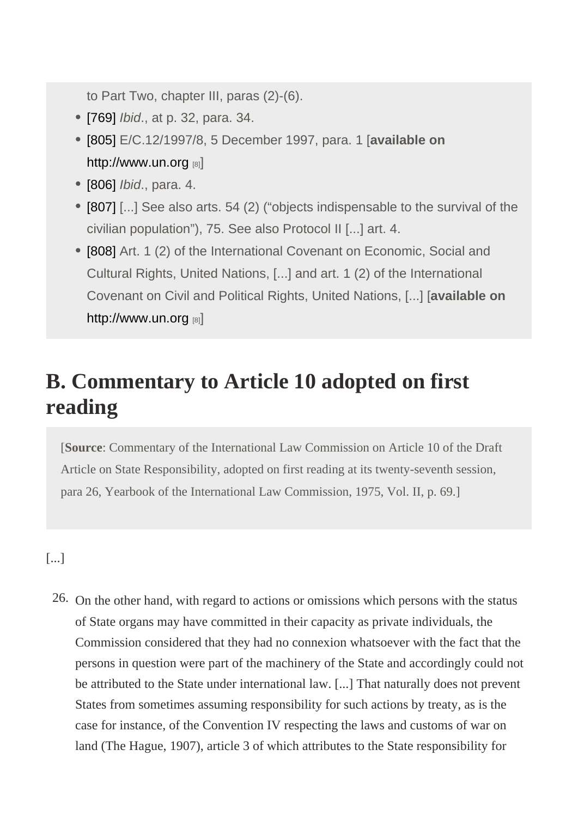<span id="page-31-0"></span>to Part Two, chapter III, paras (2)-(6).

- [\[769\]](#page-24-0) Ibid., at p. 32, para. 34.
- [\[805\]](#page-25-0) E/C.12/1997/8, 5 December 1997, para. 1 [available on <http://www.un.org> [8]
- [\[806\]](#page-26-0) Ibid., para. 4.
- [\[807\]](#page-26-0) [...] See also arts. 54 (2) ("objects indispensable to the survival of the civilian population"), 75. See also Protocol II [...] art. 4.
- [\[808\]](#page-26-0) Art. 1 (2) of the International Covenant on Economic, Social and Cultural Rights, United Nations, [...] and art. 1 (2) of the International Covenant on Civil and Political Rights, United Nations, [...] [available on <http://www.un.org> [8]

# B. Commentary to Article 10 adopted on first reading

[Source: Commentary of the International Law Commission on Article 10 of the Draft Article on State Responsibility, adopted on first reading at its twenty-seventh session, para 26, Yearbook of the International Law Commission, 1975, Vol. II, p. 69.]

# [...]

26. On the other hand, with regard to actions or omissions which persons with the status of State organs may have committed in their capacity as private individuals, the Commission considered that they had no connexion whatsoever with the fact that the persons in question were part of the machinery of the State and accordingly could not be attributed to the State under international law. [...] That naturally does not prevent States from sometimes assuming responsibility for such actions by treaty, as is the case for instance, of the Convention IV respecting the laws and customs of war on land (The Hague, 1907), article 3 of which attributes to the State responsibility for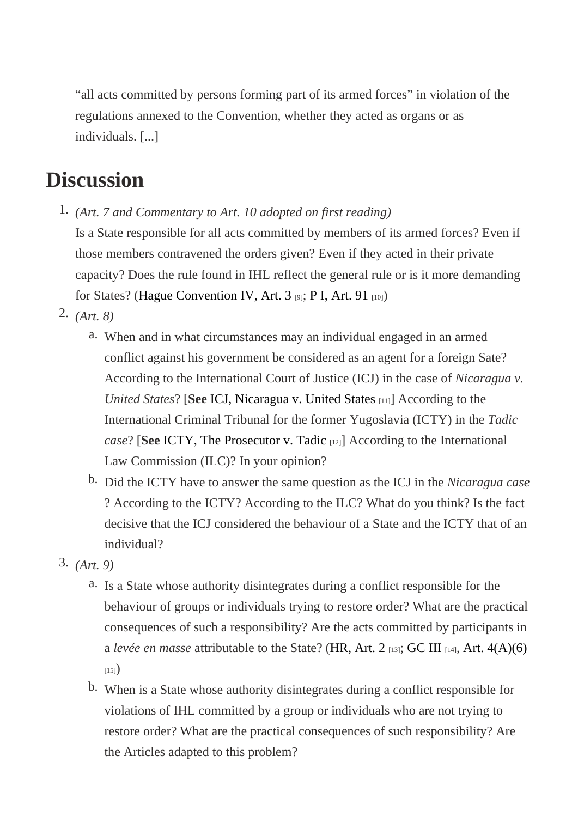"all acts committed by persons forming part of its armed forces" in violation of the regulations annexed to the Convention, whether they acted as organs or as individuals. [...]

# **Discussion**

- 1. (Art. 7 and Commentary to Art. 10 adopted on first reading) Is a State responsible for all acts committed by members of its armed forces? Even if those members contravened the orders given? Even if they acted in their private capacity? Does the rule found in IHL reflect the general rule or is it more demanding for States? Hague Convention IV, Art.  $\mathfrak{g}_i$ ; [P I, Art. 91](https://www.icrc.org/applic/ihl/ihl.nsf/Article.xsp?action=openDocument&documentId=F461FC196C18A52DC12563CD0051E2AC) $_{[10]}$ )
- 2. (Art. 8)
	- a. When and in what circumstances may an individual engaged in an armed conflict against his government be considered as an agent for a foreign Sate? According to the International Court of Justice (ICJ) in the cabboaragua v. United State<sup>8</sup> [Se[eICJ, Nicaragua v. United Stat](https://casebook.icrc.org/case-study/icj-nicaragua-v-united-states)es] According to the International Criminal Tribunal for the former Yugoslavia (ICTY) in Tradic case? [Se[eICTY, The Prosecutor v. Tad](https://casebook.icrc.org/case-study/icty-prosecutor-v-tadic)ie] According to the International Law Commission (ILC)? In your opinion?
	- b. Did the ICTY have to answer the same question as the ICJ intidated case ? According to the ICTY? According to the ILC? What do you think? Is the fact decisive that the ICJ considered the behaviour of a State and the ICTY that of an individual?
- 3. (Art. 9)
	- a. Is a State whose authority disintegrates during a conflict responsible for the behaviour of groups or individuals trying to restore order? What are the practical consequences of such a responsibility? Are the acts committed by participants in a levée en massattributable to the State P.R., Art.  $2_{[13]}$ ; [GC III](https://ihl-databases.icrc.org/applic/ihl/ihl.nsf/Treaty.xsp?documentId=77CB9983BE01D004C12563CD002D6B3E&action=openDocument)  $_{[14]}$ , Art.  $4(A)(6)$  $[15]$
	- b. When is a State whose authority disintegrates during a conflict responsible for violations of IHL committed by a group or individuals who are not trying to restore order? What are the practical consequences of such responsibility? Are the Articles adapted to this problem?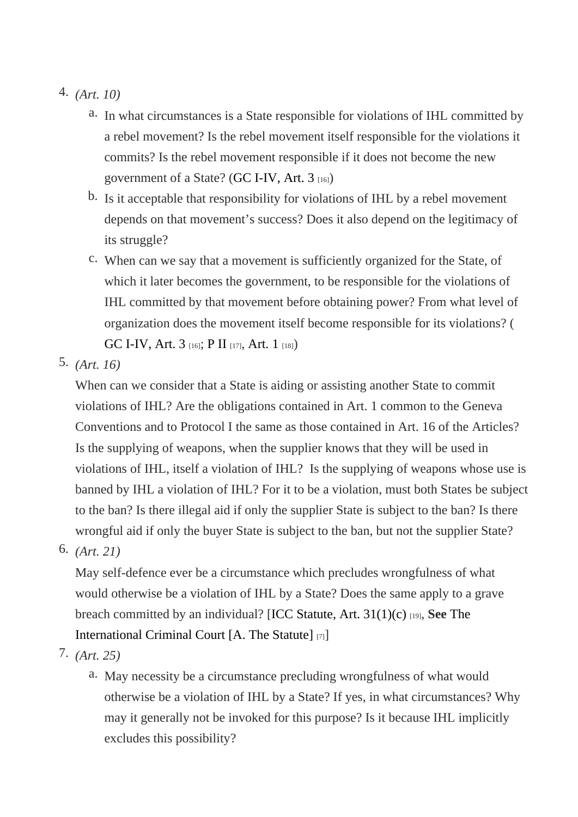# 4. (Art. 10)

- a. In what circumstances is a State responsible for violations of IHL committed by a rebel movement? Is the rebel movement itself responsible for the violations it commits? Is the rebel movement responsible if it does not become the new government of a State $\mathcal{C}$ C I-IV, Art. 3 [16])
- b. Is it acceptable that responsibility for violations of IHL by a rebel movement depends on that movement's success? Does it also depend on the legitimacy of its struggle?
- c. When can we say that a movement is sufficiently organized for the State, of which it later becomes the government, to be responsible for the violations of IHL committed by that movement before obtaining power? From what level of organization does the movement itself become responsible for its violations? ( GC I-IV, Art.  $3_{[16]}$ ; [P II](https://ihl-databases.icrc.org/applic/ihl/ihl.nsf/Treaty.xsp?documentId=2F5AA9B07AB61934C12563CD002D6B25&action=openDocument)  $[17]$ , [Art. 1](https://ihl-databases.icrc.org/applic/ihl/ihl.nsf/Article.xsp?action=openDocument&documentId=D8E74048310EEFE1C12563CD0051A4DE)  $[18]$ )
- 5. (Art. 16)

When can we consider that a State is aiding or assisting another State to commit violations of IHL? Are the obligations contained in Art. 1 common to the Geneva Conventions and to Protocol I the same as those contained in Art. 16 of the Articles? Is the supplying of weapons, when the supplier knows that they will be used in violations of IHL, itself a violation of IHL? Is the supplying of weapons whose use is banned by IHL a violation of IHL? For it to be a violation, must both States be subject to the ban? Is there illegal aid if only the supplier State is subject to the ban? Is there wrongful aid if only the buyer State is subject to the ban, but not the supplier State?

6. (Art. 21)

May self-defence ever be a circumstance which precludes wrongfulness of what would otherwise be a violation of IHL by a State? Does the same apply to a grave breach committed by an individual  $\mathbb{C} \mathbb{C}$  Statute, Art. 31(1)( $q$ )<sub>91</sub>, SeeThe [International Criminal Court \[A. The Statu](https://casebook.icrc.org/case-study/international-criminal-court#a_statute)te]

- 7. (Art. 25)
	- a. May necessity be a circumstance precluding wrongfulness of what would otherwise be a violation of IHL by a State? If yes, in what circumstances? Why may it generally not be invoked for this purpose? Is it because IHL implicitly excludes this possibility?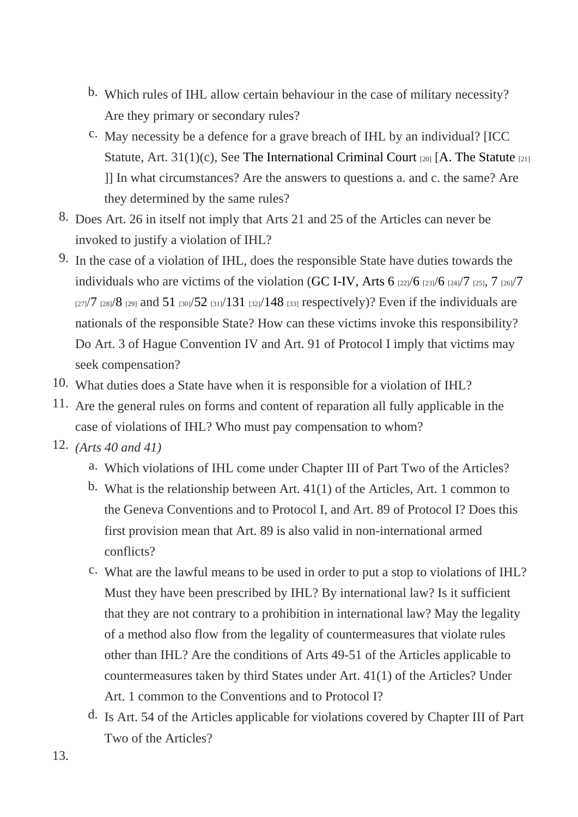- b. Which rules of IHL allow certain behaviour in the case of military necessity? Are they primary or secondary rules?
- c. May necessity be a defence for a grave breach of IHL by an individual? [ICC Statute, Art. 31(1)(c), Seehe International Criminal Court, [\[A. The Statut](https://casebook.icrc.org/case-study/international-criminal-court#icc_a_the_statute)e<sub>11</sub> ]] In what circumstances? Are the answers to questions a. and c. the same? Are they determined by the same rules?
- 8. Does Art. 26 in itself not imply that Arts 21 and 25 of the Articles can never be invoked to justify a violation of IHL?
- 9. In the case of a violation of IHL, does the responsible State have duties towards the individuals who are victims of the violation  $C$  I-IV, Arts 6 $_{122}/6$  $_{122}/6$   $_{123}/6$   $_{124}/7$  $_{124}/7$   $_{1251}$ , [7](https://www.icrc.org/applic/ihl/ihl.nsf/Article.xsp?action=openDocument&documentId=47CC1F5C9494F52CC12563CD00519ECC)  $_{126}/7$  $_{126}/7$  $_{[27]}/7$  $_{[27]}/7$   $_{[28]}/8$  $_{[28]}/8$   $_{[29]}$  and [51](https://www.icrc.org/applic/ihl/ihl.nsf/Article.xsp?action=openDocument&documentId=CC531267D4833340C12563CD0051A2E7)  $_{[30]}/52$  $_{[30]}/52$   $_{[31]}/131$  $_{[31]}/131$   $_{[32]}/148$  $_{[32]}/148$   $_{[33]}$  respectively)? Even if the individuals are nationals of the responsible State? How can these victims invoke this responsibility? Do Art. 3 of Hague Convention IV and Art. 91 of Protocol I imply that victims may seek compensation?
- 10. What duties does a State have when it is responsible for a violation of IHL?
- 11. Are the general rules on forms and content of reparation all fully applicable in the case of violations of IHL? Who must pay compensation to whom?
- 12. (Arts 40 and 41)
	- a. Which violations of IHL come under Chapter III of Part Two of the Articles?
	- b. What is the relationship between Art. 41(1) of the Articles, Art. 1 common to the Geneva Conventions and to Protocol I, and Art. 89 of Protocol I? Does this first provision mean that Art. 89 is also valid in non-international armed conflicts?
	- c. What are the lawful means to be used in order to put a stop to violations of IHL? Must they have been prescribed by IHL? By international law? Is it sufficient that they are not contrary to a prohibition in international law? May the legality of a method also flow from the legality of countermeasures that violate rules other than IHL? Are the conditions of Arts 49-51 of the Articles applicable to countermeasures taken by third States under Art. 41(1) of the Articles? Under Art. 1 common to the Conventions and to Protocol I?
	- d. Is Art. 54 of the Articles applicable for violations covered by Chapter III of Part Two of the Articles?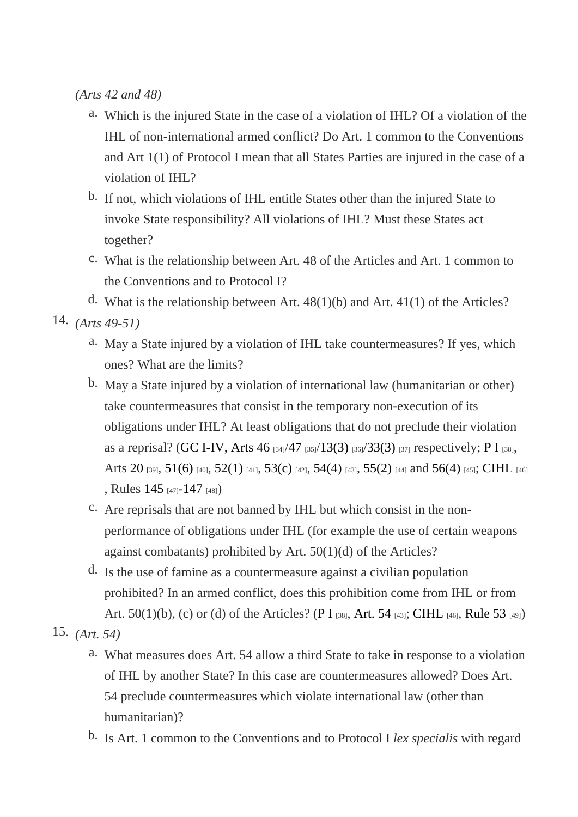(Arts 42 and 48)

- a. Which is the injured State in the case of a violation of IHL? Of a violation of the IHL of non-international armed conflict? Do Art. 1 common to the Conventions and Art 1(1) of Protocol I mean that all States Parties are injured in the case of a violation of IHL?
- b. If not, which violations of IHL entitle States other than the injured State to invoke State responsibility? All violations of IHL? Must these States act together?
- c. What is the relationship between Art. 48 of the Articles and Art. 1 common to the Conventions and to Protocol I?
- d. What is the relationship between Art. 48(1)(b) and Art. 41(1) of the Articles?

14. (Arts 49-51)

- a. May a State injured by a violation of IHL take countermeasures? If yes, which ones? What are the limits?
- b. May a State injured by a violation of international law (humanitarian or other) take countermeasures that consist in the temporary non-execution of its obligations under IHL? At least obligations that do not preclude their violation as a reprisal? GC I-IV, Arts  $46_{\frac{34}{7}}$  (35)/[13\(3\)](https://ihl-databases.icrc.org/applic/ihl/ihl.nsf/Article.xsp?action=openDocument&documentId=CD863DC518A5E1D7C12563CD0051AB7A)<sub>[36]</sub>[/33\(3\)](https://ihl-databases.icrc.org/applic/ihl/ihl.nsf/Article.xsp?action=openDocument&documentId=72728B6DE56C7A68C12563CD0051BC40)<sub>[37]</sub> respectively P I [38], Arts [20](https://ihl-databases.icrc.org/applic/ihl/ihl.nsf/Article.xsp?action=openDocument&documentId=0D8292177AFD9AD0C12563CD0051D8B7)<sub>[39]</sub>, [51\(6\)](https://ihl-databases.icrc.org/applic/ihl/ihl.nsf/Article.xsp?action=openDocument&documentId=4BEBD9920AE0AEAEC12563CD0051DC9E)<sub>[40]</sub>, [52\(1\)](https://ihl-databases.icrc.org/applic/ihl/ihl.nsf/Article.xsp?action=openDocument&documentId=F08A9BC78AE360B3C12563CD0051DCD4)<sub>[41]</sub>, [53\(c\)](https://ihl-databases.icrc.org/applic/ihl/ihl.nsf/Article.xsp?action=openDocument&documentId=D76C3391F1A412C5C12563CD0051DCEB)<sub>[42]</sub>, [54\(4\)](https://ihl-databases.icrc.org/applic/ihl/ihl.nsf/Article.xsp?action=openDocument&documentId=C5F28CACC22458EAC12563CD0051DD00)<sub>[43]</sub>, [55\(2\)](https://ihl-databases.icrc.org/applic/ihl/ihl.nsf/Article.xsp?action=openDocument&documentId=E20CAD5E1C078E94C12563CD0051DD24)<sub>[44]</sub> an[d 56\(4\)](https://ihl-databases.icrc.org/applic/ihl/ihl.nsf/Article.xsp?action=openDocument&documentId=3376730ECD9DF7B1C12563CD0051DD37)<sub>[45]</sub>; [CIHL](https://ihl-databases.icrc.org/customary-ihl/eng/docs/home) [46] , Rules  $145$ <sup>[47]-[147](https://ihl-databases.icrc.org/customary-ihl/eng/docs/v1_rul_rule147)</sup>[48])
- c. Are reprisals that are not banned by IHL but which consist in the nonperformance of obligations under IHL (for example the use of certain weapons against combatants) prohibited by Art. 50(1)(d) of the Articles?
- d. Is the use of famine as a countermeasure against a civilian population prohibited? In an armed conflict, does this prohibition come from IHL or from Art. 50(1)(b), (c) or (d) of the Articles  $P(I_{[38]}, Art. 54_{[43]}; CIHL_{[46]}, Rule 53_{[49]})$  $P(I_{[38]}, Art. 54_{[43]}; CIHL_{[46]}, Rule 53_{[49]})$  $P(I_{[38]}, Art. 54_{[43]}; CIHL_{[46]}, Rule 53_{[49]})$  $P(I_{[38]}, Art. 54_{[43]}; CIHL_{[46]}, Rule 53_{[49]})$  $P(I_{[38]}, Art. 54_{[43]}; CIHL_{[46]}, Rule 53_{[49]})$  $P(I_{[38]}, Art. 54_{[43]}; CIHL_{[46]}, Rule 53_{[49]})$  $P(I_{[38]}, Art. 54_{[43]}; CIHL_{[46]}, Rule 53_{[49]})$
- 15. (Art. 54)
	- a. What measures does Art. 54 allow a third State to take in response to a violation of IHL by another State? In this case are countermeasures allowed? Does Art. 54 preclude countermeasures which violate international law (other than humanitarian)?
	- b. Is Art. 1 common to the Conventions and to Prototox Ispecialis with regard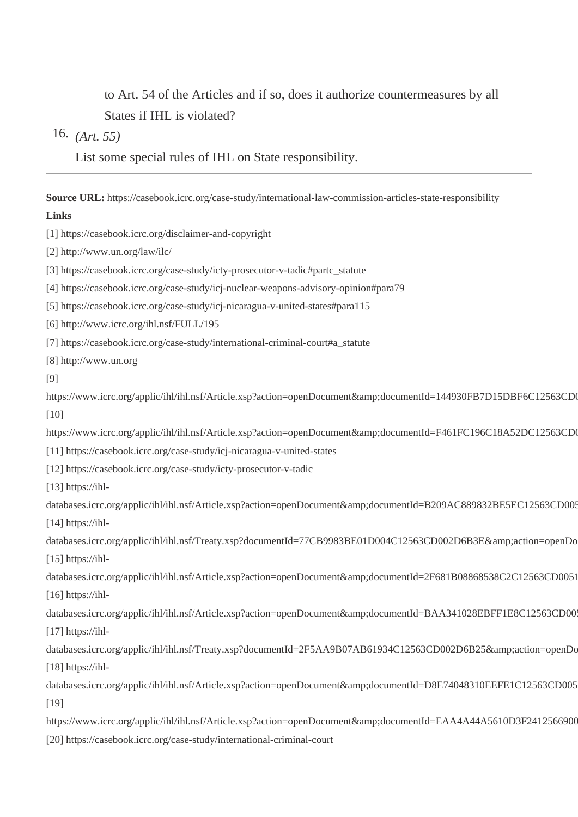to Art. 54 of the Articles and if so, does it authorize countermeasures by all States if IHL is violated?

16. *(Art. 55)*

List some special rules of IHL on State responsibility.

**Source URL:** https://casebook.icrc.org/case-study/international-law-commission-articles-state-responsibility

#### **Links**

- [1] https://casebook.icrc.org/disclaimer-and-copyright
- [2] http://www.un.org/law/ilc/
- [3] https://casebook.icrc.org/case-study/icty-prosecutor-v-tadic#partc\_statute
- [4] https://casebook.icrc.org/case-study/icj-nuclear-weapons-advisory-opinion#para79
- [5] https://casebook.icrc.org/case-study/icj-nicaragua-v-united-states#para115
- [6] http://www.icrc.org/ihl.nsf/FULL/195
- [7] https://casebook.icrc.org/case-study/international-criminal-court#a\_statute

[8] http://www.un.org

[9]

https://www.icrc.org/applic/ihl/ihl.nsf/Article.xsp?action=openDocument&documentId=144930FB7D15DBF6C12563CD0 [10]

https://www.icrc.org/applic/ihl/ihl.nsf/Article.xsp?action=openDocument&documentId=F461FC196C18A52DC12563CD0

[11] https://casebook.icrc.org/case-study/icj-nicaragua-v-united-states

[12] https://casebook.icrc.org/case-study/icty-prosecutor-v-tadic

[13] https://ihl-

databases.icrc.org/applic/ihl/ihl.nsf/Article.xsp?action=openDocument&documentId=B209AC889832BE5EC12563CD005 [14] https://ihl-

databases.icrc.org/applic/ihl/ihl.nsf/Treaty.xsp?documentId=77CB9983BE01D004C12563CD002D6B3E&action=openDo [15] https://ihl-

databases.icrc.org/applic/ihl/ihl.nsf/Article.xsp?action=openDocument&documentId=2F681B08868538C2C12563CD0051 [16] https://ihl-

databases.icrc.org/applic/ihl/ihl.nsf/Article.xsp?action=openDocument&documentId=BAA341028EBFF1E8C12563CD00 [17] https://ihl-

databases.icrc.org/applic/ihl/ihl.nsf/Treaty.xsp?documentId=2F5AA9B07AB61934C12563CD002D6B25&action=openDo [18] https://ihl-

databases.icrc.org/applic/ihl/ihl.nsf/Article.xsp?action=openDocument&documentId=D8E74048310EEFE1C12563CD005 [19]

https://www.icrc.org/applic/ihl/ihl.nsf/Article.xsp?action=openDocument&documentId=EAA4A44A5610D3F2412566900

[20] https://casebook.icrc.org/case-study/international-criminal-court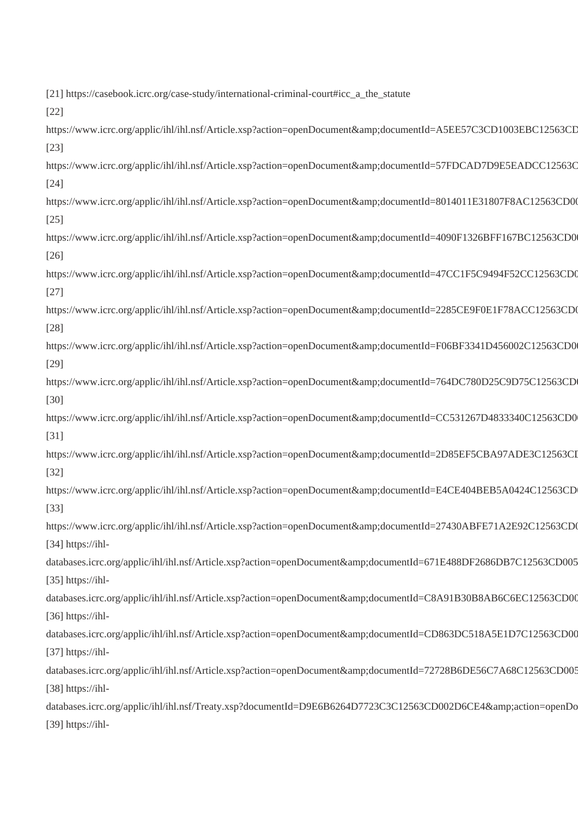[21] https://casebook.icrc.org/case-study/international-criminal-court#icc\_a\_the\_statute

[22]

https://www.icrc.org/applic/ihl/ihl.nsf/Article.xsp?action=openDocument&documentId=A5EE57C3CD1003EBC12563CD [23] https://www.icrc.org/applic/ihl/ihl.nsf/Article.xsp?action=openDocument&amp:documentId=57FDCAD7D9E5EADCC12563C

[24]

https://www.icrc.org/applic/ihl/ihl.nsf/Article.xsp?action=openDocument&documentId=8014011E31807F8AC12563CD00 [25]

https://www.icrc.org/applic/ihl/ihl.nsf/Article.xsp?action=openDocument&documentId=4090F1326BFF167BC12563CD0 [26]

https://www.icrc.org/applic/ihl/ihl.nsf/Article.xsp?action=openDocument&documentId=47CC1F5C9494F52CC12563CD0 [27]

https://www.icrc.org/applic/ihl/ihl.nsf/Article.xsp?action=openDocument&documentId=2285CE9F0E1F78ACC12563CD0 [28]

https://www.icrc.org/applic/ihl/ihl.nsf/Article.xsp?action=openDocument&documentId=F06BF3341D456002C12563CD0 [29]

https://www.icrc.org/applic/ihl/ihl.nsf/Article.xsp?action=openDocument&documentId=764DC780D25C9D75C12563CD [30]

https://www.icrc.org/applic/ihl/ihl.nsf/Article.xsp?action=openDocument&documentId=CC531267D4833340C12563CD0 [31]

https://www.icrc.org/applic/ihl/ihl.nsf/Article.xsp?action=openDocument&documentId=2D85EF5CBA97ADE3C12563CI [32]

https://www.icrc.org/applic/ihl/ihl.nsf/Article.xsp?action=openDocument&documentId=E4CE404BEB5A0424C12563CD [33]

https://www.icrc.org/applic/ihl/ihl.nsf/Article.xsp?action=openDocument&documentId=27430ABFE71A2E92C12563CD0 [34] https://ihl-

databases.icrc.org/applic/ihl/ihl.nsf/Article.xsp?action=openDocument&documentId=671E488DF2686DB7C12563CD005 [35] https://ihl-

databases.icrc.org/applic/ihl/ihl.nsf/Article.xsp?action=openDocument&documentId=C8A91B30B8AB6C6EC12563CD00 [36] https://ihl-

databases.icrc.org/applic/ihl/ihl.nsf/Article.xsp?action=openDocument&documentId=CD863DC518A5E1D7C12563CD00 [37] https://ihl-

databases.icrc.org/applic/ihl/ihl.nsf/Article.xsp?action=openDocument&documentId=72728B6DE56C7A68C12563CD005 [38] https://ihl-

databases.icrc.org/applic/ihl/ihl.nsf/Treaty.xsp?documentId=D9E6B6264D7723C3C12563CD002D6CE4&action=openDo [39] https://ihl